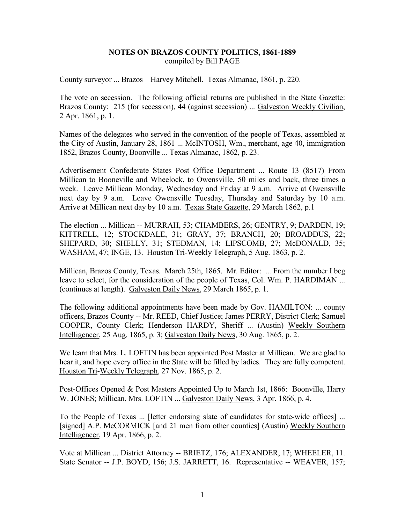### **NOTES ON BRAZOS COUNTY POLITICS, 1861-1889** compiled by Bill PAGE

County surveyor ... Brazos – Harvey Mitchell. Texas Almanac, 1861, p. 220.

The vote on secession. The following official returns are published in the State Gazette: Brazos County: 215 (for secession), 44 (against secession) ... Galveston Weekly Civilian, 2 Apr. 1861, p. 1.

Names of the delegates who served in the convention of the people of Texas, assembled at the City of Austin, January 28, 1861 ... McINTOSH, Wm., merchant, age 40, immigration 1852, Brazos County, Boonville ... Texas Almanac, 1862, p. 23.

Advertisement Confederate States Post Office Department ... Route 13 (8517) From Millican to Booneville and Wheelock, to Owensville, 50 miles and back, three times a week. Leave Millican Monday, Wednesday and Friday at 9 a.m. Arrive at Owensville next day by 9 a.m. Leave Owensville Tuesday, Thursday and Saturday by 10 a.m. Arrive at Millican next day by 10 a.m. Texas State Gazette, 29 March 1862, p.1

The election ... Millican -- MURRAH, 53; CHAMBERS, 26; GENTRY, 9; DARDEN, 19; KITTRELL, 12; STOCKDALE, 31; GRAY, 37; BRANCH, 20; BROADDUS, 22; SHEPARD, 30; SHELLY, 31; STEDMAN, 14; LIPSCOMB, 27; McDONALD, 35; WASHAM, 47; INGE, 13. Houston Tri-Weekly Telegraph, 5 Aug. 1863, p. 2.

Millican, Brazos County, Texas. March 25th, 1865. Mr. Editor: ... From the number I beg leave to select, for the consideration of the people of Texas, Col. Wm. P. HARDIMAN ... (continues at length). Galveston Daily News, 29 March 1865, p. 1.

The following additional appointments have been made by Gov. HAMILTON: ... county officers, Brazos County -- Mr. REED, Chief Justice; James PERRY, District Clerk; Samuel COOPER, County Clerk; Henderson HARDY, Sheriff ... (Austin) Weekly Southern Intelligencer, 25 Aug. 1865, p. 3; Galveston Daily News, 30 Aug. 1865, p. 2.

We learn that Mrs. L. LOFTIN has been appointed Post Master at Millican. We are glad to hear it, and hope every office in the State will be filled by ladies. They are fully competent. Houston Tri-Weekly Telegraph, 27 Nov. 1865, p. 2.

Post-Offices Opened & Post Masters Appointed Up to March 1st, 1866: Boonville, Harry W. JONES; Millican, Mrs. LOFTIN ... Galveston Daily News, 3 Apr. 1866, p. 4.

To the People of Texas ... [letter endorsing slate of candidates for state-wide offices] ... [signed] A.P. McCORMICK [and 21 men from other counties] (Austin) Weekly Southern Intelligencer, 19 Apr. 1866, p. 2.

Vote at Millican ... District Attorney -- BRIETZ, 176; ALEXANDER, 17; WHEELER, 11. State Senator -- J.P. BOYD, 156; J.S. JARRETT, 16. Representative -- WEAVER, 157;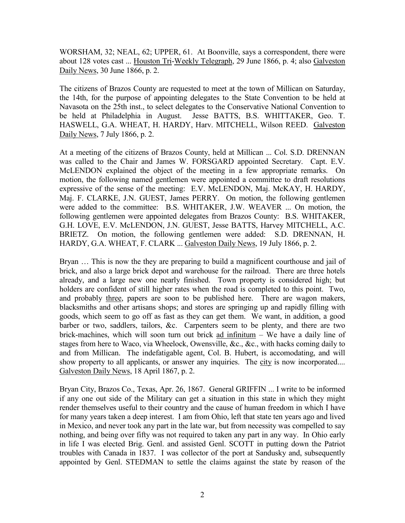WORSHAM, 32; NEAL, 62; UPPER, 61. At Boonville, says a correspondent, there were about 128 votes cast ... Houston Tri-Weekly Telegraph, 29 June 1866, p. 4; also Galveston Daily News, 30 June 1866, p. 2.

The citizens of Brazos County are requested to meet at the town of Millican on Saturday, the 14th, for the purpose of appointing delegates to the State Convention to be held at Navasota on the 25th inst., to select delegates to the Conservative National Convention to be held at Philadelphia in August. Jesse BATTS, B.S. WHITTAKER, Geo. T. HASWELL, G.A. WHEAT, H. HARDY, Harv. MITCHELL, Wilson REED. Galveston Daily News, 7 July 1866, p. 2.

At a meeting of the citizens of Brazos County, held at Millican ... Col. S.D. DRENNAN was called to the Chair and James W. FORSGARD appointed Secretary. Capt. E.V. McLENDON explained the object of the meeting in a few appropriate remarks. On motion, the following named gentlemen were appointed a committee to draft resolutions expressive of the sense of the meeting: E.V. McLENDON, Maj. McKAY, H. HARDY, Maj. F. CLARKE, J.N. GUEST, James PERRY. On motion, the following gentlemen were added to the committee: B.S. WHITAKER, J.W. WEAVER ... On motion, the following gentlemen were appointed delegates from Brazos County: B.S. WHITAKER, G.H. LOVE, E.V. McLENDON, J.N. GUEST, Jesse BATTS, Harvey MITCHELL, A.C. BRIETZ. On motion, the following gentlemen were added: S.D. DRENNAN, H. HARDY, G.A. WHEAT, F. CLARK ... Galveston Daily News, 19 July 1866, p. 2.

Bryan ... This is now the they are preparing to build a magnificent courthouse and jail of brick, and also a large brick depot and warehouse for the railroad. There are three hotels already, and a large new one nearly finished. Town property is considered high; but holders are confident of still higher rates when the road is completed to this point. Two, and probably three, papers are soon to be published here. There are wagon makers, blacksmiths and other artisans shops; and stores are springing up and rapidly filling with goods, which seem to go off as fast as they can get them. We want, in addition, a good barber or two, saddlers, tailors, &c. Carpenters seem to be plenty, and there are two brick-machines, which will soon turn out brick ad infinitum – We have a daily line of stages from here to Waco, via Wheelock, Owensville, &c., &c., with hacks coming daily to and from Millican. The indefatigable agent, Col. B. Hubert, is accomodating, and will show property to all applicants, or answer any inquiries. The city is now incorporated.... Galveston Daily News, 18 April 1867, p. 2.

Bryan City, Brazos Co., Texas, Apr. 26, 1867. General GRIFFIN ... I write to be informed if any one out side of the Military can get a situation in this state in which they might render themselves useful to their country and the cause of human freedom in which I have for many years taken a deep interest. I am from Ohio, left that state ten years ago and lived in Mexico, and never took any part in the late war, but from necessity was compelled to say nothing, and being over fifty was not required to taken any part in any way. In Ohio early in life I was elected Brig. Genl. and assisted Genl. SCOTT in putting down the Patriot troubles with Canada in 1837. I was collector of the port at Sandusky and, subsequently appointed by Genl. STEDMAN to settle the claims against the state by reason of the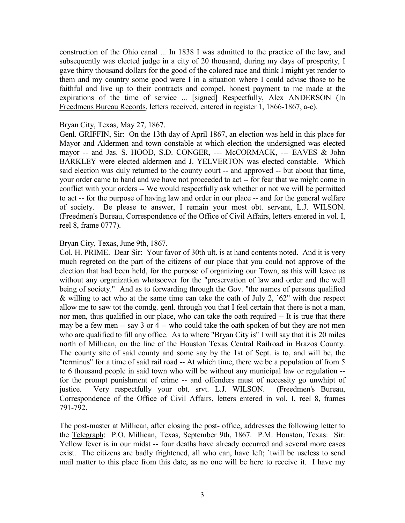construction of the Ohio canal ... In 1838 I was admitted to the practice of the law, and subsequently was elected judge in a city of 20 thousand, during my days of prosperity, I gave thirty thousand dollars for the good of the colored race and think I might yet render to them and my country some good were I in a situation where I could advise those to be faithful and live up to their contracts and compel, honest payment to me made at the expirations of the time of service ... [signed] Respectfully, Alex ANDERSON (In Freedmens Bureau Records, letters received, entered in register 1, 1866-1867, a-c).

#### Bryan City, Texas, May 27, 1867.

Genl. GRIFFIN, Sir: On the 13th day of April 1867, an election was held in this place for Mayor and Aldermen and town constable at which election the undersigned was elected mayor -- and Jas. S. HOOD, S.D. CONGER, --- McCORMACK, --- EAVES & John BARKLEY were elected aldermen and J. YELVERTON was elected constable. Which said election was duly returned to the county court -- and approved -- but about that time, your order came to hand and we have not proceeded to act -- for fear that we might come in conflict with your orders -- We would respectfully ask whether or not we will be permitted to act -- for the purpose of having law and order in our place -- and for the general welfare of society. Be please to answer, I remain your most obt. servant, L.J. WILSON. (Freedmen's Bureau, Correspondence of the Office of Civil Affairs, letters entered in vol. I, reel 8, frame 0777).

### Bryan City, Texas, June 9th, 1867.

Col. H. PRIME. Dear Sir: Your favor of 30th ult. is at hand contents noted. And it is very much regreted on the part of the citizens of our place that you could not approve of the election that had been held, for the purpose of organizing our Town, as this will leave us without any organization whatsoever for the "preservation of law and order and the well being of society." And as to forwarding through the Gov. "the names of persons qualified & willing to act who at the same time can take the oath of July 2, `62" with due respect allow me to saw tot the comdg. genl. through you that I feel certain that there is not a man, nor men, thus qualified in our place, who can take the oath required -- It is true that there may be a few men -- say 3 or 4 -- who could take the oath spoken of but they are not men who are qualified to fill any office. As to where "Bryan City is" I will say that it is 20 miles north of Millican, on the line of the Houston Texas Central Railroad in Brazos County. The county site of said county and some say by the 1st of Sept. is to, and will be, the "terminus" for a time of said rail road -- At which time, there we be a population of from 5 to 6 thousand people in said town who will be without any municipal law or regulation - for the prompt punishment of crime -- and offenders must of necessity go unwhipt of justice. Very respectfully your obt. srvt. L.J. WILSON. (Freedmen's Bureau, Correspondence of the Office of Civil Affairs, letters entered in vol. I, reel 8, frames 791-792.

The post-master at Millican, after closing the post- office, addresses the following letter to the Telegraph: P.O. Millican, Texas, September 9th, 1867. P.M. Houston, Texas: Sir: Yellow fever is in our midst -- four deaths have already occurred and several more cases exist. The citizens are badly frightened, all who can, have left; `twill be useless to send mail matter to this place from this date, as no one will be here to receive it. I have my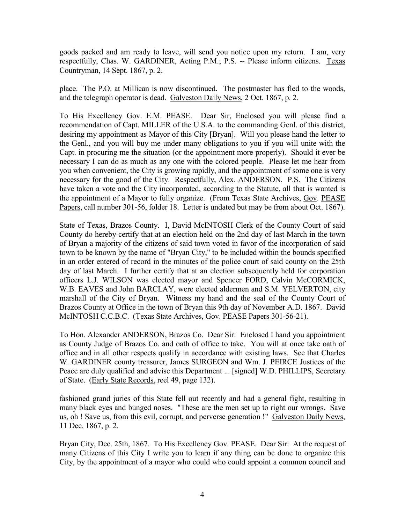goods packed and am ready to leave, will send you notice upon my return. I am, very respectfully, Chas. W. GARDINER, Acting P.M.; P.S. -- Please inform citizens. Texas Countryman, 14 Sept. 1867, p. 2.

place. The P.O. at Millican is now discontinued. The postmaster has fled to the woods, and the telegraph operator is dead. Galveston Daily News, 2 Oct. 1867, p. 2.

To His Excellency Gov. E.M. PEASE. Dear Sir, Enclosed you will please find a recommendation of Capt. MILLER of the U.S.A. to the commanding Genl. of this district, desiring my appointment as Mayor of this City [Bryan]. Will you please hand the letter to the Genl., and you will buy me under many obligations to you if you will unite with the Capt. in procuring me the situation (or the appointment more properly). Should it ever be necessary I can do as much as any one with the colored people. Please let me hear from you when convenient, the City is growing rapidly, and the appointment of some one is very necessary for the good of the City. Respectfully, Alex. ANDERSON. P.S. The Citizens have taken a vote and the City incorporated, according to the Statute, all that is wanted is the appointment of a Mayor to fully organize. (From Texas State Archives, Gov. PEASE Papers, call number 301-56, folder 18. Letter is undated but may be from about Oct. 1867).

State of Texas, Brazos County. I, David McINTOSH Clerk of the County Court of said County do hereby certify that at an election held on the 2nd day of last March in the town of Bryan a majority of the citizens of said town voted in favor of the incorporation of said town to be known by the name of "Bryan City," to be included within the bounds specified in an order entered of record in the minutes of the police court of said county on the 25th day of last March. I further certify that at an election subsequently held for corporation officers L.J. WILSON was elected mayor and Spencer FORD, Calvin McCORMICK, W.B. EAVES and John BARCLAY, were elected aldermen and S.M. YELVERTON, city marshall of the City of Bryan. Witness my hand and the seal of the County Court of Brazos County at Office in the town of Bryan this 9th day of November A.D. 1867. David McINTOSH C.C.B.C. (Texas State Archives, Gov. PEASE Papers 301-56-21).

To Hon. Alexander ANDERSON, Brazos Co. Dear Sir: Enclosed I hand you appointment as County Judge of Brazos Co. and oath of office to take. You will at once take oath of office and in all other respects qualify in accordance with existing laws. See that Charles W. GARDINER county treasurer, James SURGEON and Wm. J. PEIRCE Justices of the Peace are duly qualified and advise this Department ... [signed] W.D. PHILLIPS, Secretary of State. (Early State Records, reel 49, page 132).

fashioned grand juries of this State fell out recently and had a general fight, resulting in many black eyes and bunged noses. "These are the men set up to right our wrongs. Save us, oh ! Save us, from this evil, corrupt, and perverse generation !" Galveston Daily News, 11 Dec. 1867, p. 2.

Bryan City, Dec. 25th, 1867. To His Excellency Gov. PEASE. Dear Sir: At the request of many Citizens of this City I write you to learn if any thing can be done to organize this City, by the appointment of a mayor who could who could appoint a common council and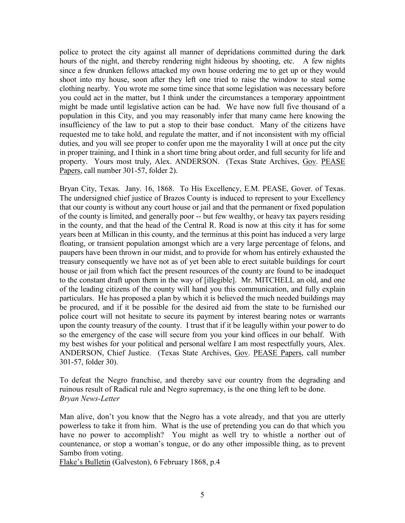police to protect the city against all manner of depridations committed during the dark hours of the night, and thereby rendering night hideous by shooting, etc. A few nights since a few drunken fellows attacked my own house ordering me to get up or they would shoot into my house, soon after they left one tried to raise the window to steal some clothing nearby. You wrote me some time since that some legislation was necessary before you could act in the matter, but I think under the circumstances a temporary appointment might be made until legislative action can be had. We have now full five thousand of a population in this City, and you may reasonably infer that many came here knowing the insufficiency of the law to put a stop to their base conduct. Many of the citizens have requested me to take hold, and regulate the matter, and if not inconsistent with my official duties, and you will see proper to confer upon me the mayorality I will at once put the city in proper training, and I think in a short time bring about order, and full security for life and property. Yours most truly, Alex. ANDERSON. (Texas State Archives, Gov. PEASE Papers, call number 301-57, folder 2).

Bryan City, Texas. Jany. 16, 1868. To His Excellency, E.M. PEASE, Gover. of Texas. The undersigned chief justice of Brazos County is induced to represent to your Excellency that our county is without any court house or jail and that the permanent or fixed population of the county is limited, and generally poor -- but few wealthy, or heavy tax payers residing in the county, and that the head of the Central R. Road is now at this city it has for some years been at Millican in this county, and the terminus at this point has induced a very large floating, or transient population amongst which are a very large percentage of felons, and paupers have been thrown in our midst, and to provide for whom has entirely exhausted the treasury consequently we have not as of yet been able to erect suitable buildings for court house or jail from which fact the present resources of the county are found to be inadequet to the constant draft upon them in the way of [illegible]. Mr. MITCHELL an old, and one of the leading citizens of the county will hand you this communication, and fully explain particulars. He has proposed a plan by which it is believed the much needed buildings may be procured, and if it be possible for the desired aid from the state to be furnished our police court will not hesitate to secure its payment by interest bearing notes or warrants upon the county treasury of the county. I trust that if it be leagully within your power to do so the emergency of the case will secure from you your kind offices in our behalf. With my best wishes for your political and personal welfare I am most respectfully yours, Alex. ANDERSON, Chief Justice. (Texas State Archives, Gov. PEASE Papers, call number 301-57, folder 30).

To defeat the Negro franchise, and thereby save our country from the degrading and ruinous result of Radical rule and Negro supremacy, is the one thing left to be done. *Bryan News-Letter*

Man alive, don't you know that the Negro has a vote already, and that you are utterly powerless to take it from him. What is the use of pretending you can do that which you have no power to accomplish? You might as well try to whistle a norther out of countenance, or stop a woman's tongue, or do any other impossible thing, as to prevent Sambo from voting.

Flake's Bulletin (Galveston), 6 February 1868, p.4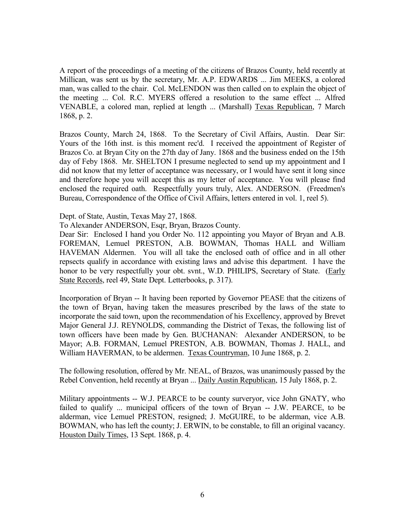A report of the proceedings of a meeting of the citizens of Brazos County, held recently at Millican, was sent us by the secretary, Mr. A.P. EDWARDS ... Jim MEEKS, a colored man, was called to the chair. Col. McLENDON was then called on to explain the object of the meeting ... Col. R.C. MYERS offered a resolution to the same effect ... Alfred VENABLE, a colored man, replied at length ... (Marshall) Texas Republican, 7 March 1868, p. 2.

Brazos County, March 24, 1868. To the Secretary of Civil Affairs, Austin. Dear Sir: Yours of the 16th inst. is this moment rec'd. I received the appointment of Register of Brazos Co. at Bryan City on the 27th day of Jany. 1868 and the business ended on the 15th day of Feby 1868. Mr. SHELTON I presume neglected to send up my appointment and I did not know that my letter of acceptance was necessary, or I would have sent it long since and therefore hope you will accept this as my letter of acceptance. You will please find enclosed the required oath. Respectfully yours truly, Alex. ANDERSON. (Freedmen's Bureau, Correspondence of the Office of Civil Affairs, letters entered in vol. 1, reel 5).

Dept. of State, Austin, Texas May 27, 1868.

To Alexander ANDERSON, Esqr, Bryan, Brazos County.

Dear Sir: Enclosed I hand you Order No. 112 appointing you Mayor of Bryan and A.B. FOREMAN, Lemuel PRESTON, A.B. BOWMAN, Thomas HALL and William HAVEMAN Aldermen. You will all take the enclosed oath of office and in all other repsects qualify in accordance with existing laws and advise this department. I have the honor to be very respectfully your obt. svnt., W.D. PHILIPS, Secretary of State. (Early State Records, reel 49, State Dept. Letterbooks, p. 317).

Incorporation of Bryan -- It having been reported by Governor PEASE that the citizens of the town of Bryan, having taken the measures prescribed by the laws of the state to incorporate the said town, upon the recommendation of his Excellency, approved by Brevet Major General J.J. REYNOLDS, commanding the District of Texas, the following list of town officers have been made by Gen. BUCHANAN: Alexander ANDERSON, to be Mayor; A.B. FORMAN, Lemuel PRESTON, A.B. BOWMAN, Thomas J. HALL, and William HAVERMAN, to be aldermen. Texas Countryman, 10 June 1868, p. 2.

The following resolution, offered by Mr. NEAL, of Brazos, was unanimously passed by the Rebel Convention, held recently at Bryan ... Daily Austin Republican, 15 July 1868, p. 2.

Military appointments -- W.J. PEARCE to be county surveryor, vice John GNATY, who failed to qualify ... municipal officers of the town of Bryan -- J.W. PEARCE, to be alderman, vice Lemuel PRESTON, resigned; J. McGUIRE, to be alderman, vice A.B. BOWMAN, who has left the county; J. ERWIN, to be constable, to fill an original vacancy. Houston Daily Times, 13 Sept. 1868, p. 4.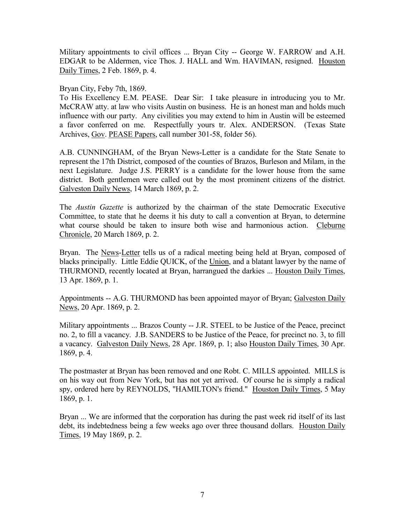Military appointments to civil offices ... Bryan City -- George W. FARROW and A.H. EDGAR to be Aldermen, vice Thos. J. HALL and Wm. HAVIMAN, resigned. Houston Daily Times, 2 Feb. 1869, p. 4.

Bryan City, Feby 7th, 1869.

To His Excellency E.M. PEASE. Dear Sir: I take pleasure in introducing you to Mr. McCRAW atty. at law who visits Austin on business. He is an honest man and holds much influence with our party. Any civilities you may extend to him in Austin will be esteemed a favor conferred on me. Respectfully yours tr. Alex. ANDERSON. (Texas State Archives, Gov. PEASE Papers, call number 301-58, folder 56).

A.B. CUNNINGHAM, of the Bryan News-Letter is a candidate for the State Senate to represent the 17th District, composed of the counties of Brazos, Burleson and Milam, in the next Legislature. Judge J.S. PERRY is a candidate for the lower house from the same district. Both gentlemen were called out by the most prominent citizens of the district. Galveston Daily News, 14 March 1869, p. 2.

The *Austin Gazette* is authorized by the chairman of the state Democratic Executive Committee, to state that he deems it his duty to call a convention at Bryan, to determine what course should be taken to insure both wise and harmonious action. Cleburne Chronicle, 20 March 1869, p. 2.

Bryan. The News-Letter tells us of a radical meeting being held at Bryan, composed of blacks principally. Little Eddie QUICK, of the Union, and a blatant lawyer by the name of THURMOND, recently located at Bryan, harrangued the darkies ... Houston Daily Times, 13 Apr. 1869, p. 1.

Appointments -- A.G. THURMOND has been appointed mayor of Bryan; Galveston Daily News, 20 Apr. 1869, p. 2.

Military appointments ... Brazos County -- J.R. STEEL to be Justice of the Peace, precinct no. 2, to fill a vacancy. J.B. SANDERS to be Justice of the Peace, for precinct no. 3, to fill a vacancy. Galveston Daily News, 28 Apr. 1869, p. 1; also Houston Daily Times, 30 Apr. 1869, p. 4.

The postmaster at Bryan has been removed and one Robt. C. MILLS appointed. MILLS is on his way out from New York, but has not yet arrived. Of course he is simply a radical spy, ordered here by REYNOLDS, "HAMILTON's friend." Houston Daily Times, 5 May 1869, p. 1.

Bryan ... We are informed that the corporation has during the past week rid itself of its last debt, its indebtedness being a few weeks ago over three thousand dollars. Houston Daily Times, 19 May 1869, p. 2.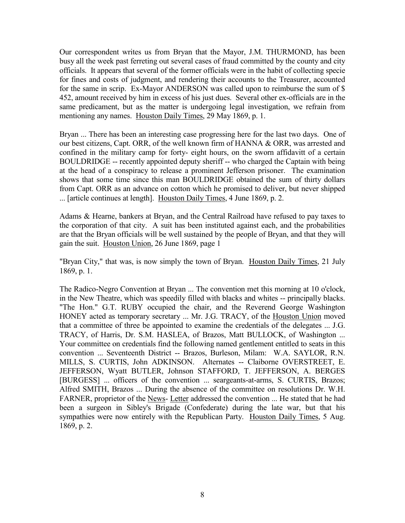Our correspondent writes us from Bryan that the Mayor, J.M. THURMOND, has been busy all the week past ferreting out several cases of fraud committed by the county and city officials. It appears that several of the former officials were in the habit of collecting specie for fines and costs of judgment, and rendering their accounts to the Treasurer, accounted for the same in scrip. Ex-Mayor ANDERSON was called upon to reimburse the sum of \$ 452, amount received by him in excess of his just dues. Several other ex-officials are in the same predicament, but as the matter is undergoing legal investigation, we refrain from mentioning any names. Houston Daily Times, 29 May 1869, p. 1.

Bryan ... There has been an interesting case progressing here for the last two days. One of our best citizens, Capt. ORR, of the well known firm of HANNA & ORR, was arrested and confined in the military camp for forty- eight hours, on the sworn affidavitt of a certain BOULDRIDGE -- recently appointed deputy sheriff -- who charged the Captain with being at the head of a conspiracy to release a prominent Jefferson prisoner. The examination shows that some time since this man BOULDRIDGE obtained the sum of thirty dollars from Capt. ORR as an advance on cotton which he promised to deliver, but never shipped ... [article continues at length]. Houston Daily Times, 4 June 1869, p. 2.

Adams & Hearne, bankers at Bryan, and the Central Railroad have refused to pay taxes to the corporation of that city. A suit has been instituted against each, and the probabilities are that the Bryan officials will be well sustained by the people of Bryan, and that they will gain the suit. Houston Union, 26 June 1869, page 1

"Bryan City," that was, is now simply the town of Bryan. Houston Daily Times, 21 July 1869, p. 1.

The Radico-Negro Convention at Bryan ... The convention met this morning at 10 o'clock, in the New Theatre, which was speedily filled with blacks and whites -- principally blacks. "The Hon." G.T. RUBY occupied the chair, and the Reverend George Washington HONEY acted as temporary secretary ... Mr. J.G. TRACY, of the Houston Union moved that a committee of three be appointed to examine the credentials of the delegates ... J.G. TRACY, of Harris, Dr. S.M. HASLEA, of Brazos, Matt BULLOCK, of Washington ... Your committee on credentials find the following named gentlement entitled to seats in this convention ... Seventeenth District -- Brazos, Burleson, Milam: W.A. SAYLOR, R.N. MILLS, S. CURTIS, John ADKINSON. Alternates -- Claiborne OVERSTREET, E. JEFFERSON, Wyatt BUTLER, Johnson STAFFORD, T. JEFFERSON, A. BERGES [BURGESS] ... officers of the convention ... seargeants-at-arms, S. CURTIS, Brazos; Alfred SMITH, Brazos ... During the absence of the committee on resolutions Dr. W.H. FARNER, proprietor of the News- Letter addressed the convention ... He stated that he had been a surgeon in Sibley's Brigade (Confederate) during the late war, but that his sympathies were now entirely with the Republican Party. Houston Daily Times, 5 Aug. 1869, p. 2.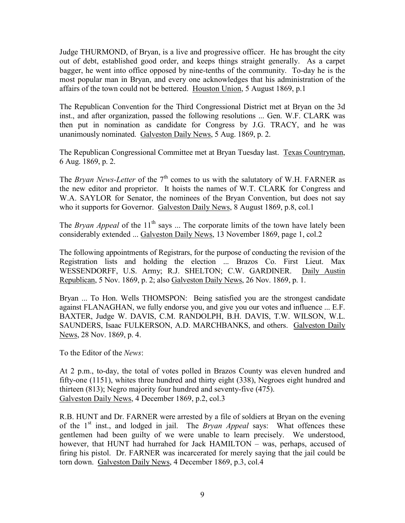Judge THURMOND, of Bryan, is a live and progressive officer. He has brought the city out of debt, established good order, and keeps things straight generally. As a carpet bagger, he went into office opposed by nine-tenths of the community. To-day he is the most popular man in Bryan, and every one acknowledges that his administration of the affairs of the town could not be bettered. Houston Union, 5 August 1869, p.1

The Republican Convention for the Third Congressional District met at Bryan on the 3d inst., and after organization, passed the following resolutions ... Gen. W.F. CLARK was then put in nomination as candidate for Congress by J.G. TRACY, and he was unanimously nominated. Galveston Daily News, 5 Aug. 1869, p. 2.

The Republican Congressional Committee met at Bryan Tuesday last. Texas Countryman, 6 Aug. 1869, p. 2.

The *Bryan News-Letter* of the  $7<sup>th</sup>$  comes to us with the salutatory of W.H. FARNER as the new editor and proprietor. It hoists the names of W.T. CLARK for Congress and W.A. SAYLOR for Senator, the nominees of the Bryan Convention, but does not say who it supports for Governor. Galveston Daily News, 8 August 1869, p.8, col.1

The *Bryan Appeal* of the  $11<sup>th</sup>$  says ... The corporate limits of the town have lately been considerably extended ... Galveston Daily News, 13 November 1869, page 1, col.2

The following appointments of Registrars, for the purpose of conducting the revision of the Registration lists and holding the election ... Brazos Co. First Lieut. Max WESSENDORFF, U.S. Army; R.J. SHELTON; C.W. GARDINER. Daily Austin Republican, 5 Nov. 1869, p. 2; also Galveston Daily News, 26 Nov. 1869, p. 1.

Bryan ... To Hon. Wells THOMSPON: Being satisfied you are the strongest candidate against FLANAGHAN, we fully endorse you, and give you our votes and influence ... E.F. BAXTER, Judge W. DAVIS, C.M. RANDOLPH, B.H. DAVIS, T.W. WILSON, W.L. SAUNDERS, Isaac FULKERSON, A.D. MARCHBANKS, and others. Galveston Daily News, 28 Nov. 1869, p. 4.

To the Editor of the *News*:

At 2 p.m., to-day, the total of votes polled in Brazos County was eleven hundred and fifty-one (1151), whites three hundred and thirty eight (338), Negroes eight hundred and thirteen (813); Negro majority four hundred and seventy-five (475). Galveston Daily News, 4 December 1869, p.2, col.3

R.B. HUNT and Dr. FARNER were arrested by a file of soldiers at Bryan on the evening of the 1st inst., and lodged in jail. The *Bryan Appeal* says: What offences these gentlemen had been guilty of we were unable to learn precisely. We understood, however, that HUNT had hurrahed for Jack HAMILTON – was, perhaps, accused of firing his pistol. Dr. FARNER was incarcerated for merely saying that the jail could be torn down. Galveston Daily News, 4 December 1869, p.3, col.4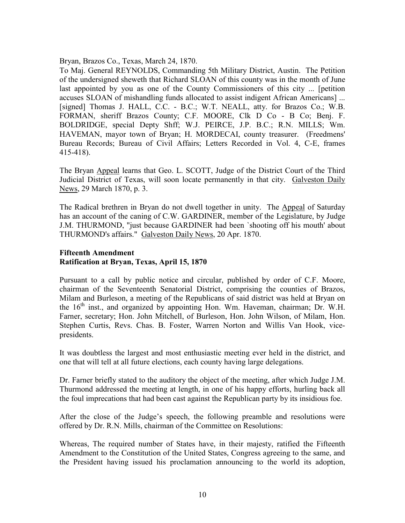Bryan, Brazos Co., Texas, March 24, 1870.

To Maj. General REYNOLDS, Commanding 5th Military District, Austin. The Petition of the undersigned sheweth that Richard SLOAN of this county was in the month of June last appointed by you as one of the County Commissioners of this city ... [petition accuses SLOAN of mishandling funds allocated to assist indigent African Americans] ... [signed] Thomas J. HALL, C.C. - B.C.; W.T. NEALL, atty. for Brazos Co.; W.B. FORMAN, sheriff Brazos County; C.F. MOORE, Clk D Co - B Co; Benj. F. BOLDRIDGE, special Depty Shff; W.J. PEIRCE, J.P. B.C.; R.N. MILLS; Wm. HAVEMAN, mayor town of Bryan; H. MORDECAI, county treasurer. (Freedmens' Bureau Records; Bureau of Civil Affairs; Letters Recorded in Vol. 4, C-E, frames 415-418).

The Bryan Appeal learns that Geo. L. SCOTT, Judge of the District Court of the Third Judicial District of Texas, will soon locate permanently in that city. Galveston Daily News, 29 March 1870, p. 3.

The Radical brethren in Bryan do not dwell together in unity. The Appeal of Saturday has an account of the caning of C.W. GARDINER, member of the Legislature, by Judge J.M. THURMOND, "just because GARDINER had been `shooting off his mouth' about THURMOND's affairs." Galveston Daily News, 20 Apr. 1870.

## **Fifteenth Amendment Ratification at Bryan, Texas, April 15, 1870**

Pursuant to a call by public notice and circular, published by order of C.F. Moore, chairman of the Seventeenth Senatorial District, comprising the counties of Brazos, Milam and Burleson, a meeting of the Republicans of said district was held at Bryan on the 16<sup>th</sup> inst., and organized by appointing Hon. Wm. Haveman, chairman; Dr. W.H. Farner, secretary; Hon. John Mitchell, of Burleson, Hon. John Wilson, of Milam, Hon. Stephen Curtis, Revs. Chas. B. Foster, Warren Norton and Willis Van Hook, vicepresidents.

It was doubtless the largest and most enthusiastic meeting ever held in the district, and one that will tell at all future elections, each county having large delegations.

Dr. Farner briefly stated to the auditory the object of the meeting, after which Judge J.M. Thurmond addressed the meeting at length, in one of his happy efforts, hurling back all the foul imprecations that had been cast against the Republican party by its insidious foe.

After the close of the Judge's speech, the following preamble and resolutions were offered by Dr. R.N. Mills, chairman of the Committee on Resolutions:

Whereas, The required number of States have, in their majesty, ratified the Fifteenth Amendment to the Constitution of the United States, Congress agreeing to the same, and the President having issued his proclamation announcing to the world its adoption,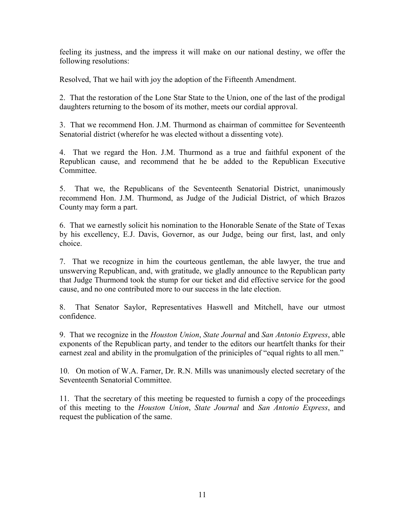feeling its justness, and the impress it will make on our national destiny, we offer the following resolutions:

Resolved, That we hail with joy the adoption of the Fifteenth Amendment.

2. That the restoration of the Lone Star State to the Union, one of the last of the prodigal daughters returning to the bosom of its mother, meets our cordial approval.

3. That we recommend Hon. J.M. Thurmond as chairman of committee for Seventeenth Senatorial district (wherefor he was elected without a dissenting vote).

4. That we regard the Hon. J.M. Thurmond as a true and faithful exponent of the Republican cause, and recommend that he be added to the Republican Executive Committee.

5. That we, the Republicans of the Seventeenth Senatorial District, unanimously recommend Hon. J.M. Thurmond, as Judge of the Judicial District, of which Brazos County may form a part.

6. That we earnestly solicit his nomination to the Honorable Senate of the State of Texas by his excellency, E.J. Davis, Governor, as our Judge, being our first, last, and only choice.

7. That we recognize in him the courteous gentleman, the able lawyer, the true and unswerving Republican, and, with gratitude, we gladly announce to the Republican party that Judge Thurmond took the stump for our ticket and did effective service for the good cause, and no one contributed more to our success in the late election.

8. That Senator Saylor, Representatives Haswell and Mitchell, have our utmost confidence.

9. That we recognize in the *Houston Union*, *State Journal* and *San Antonio Express*, able exponents of the Republican party, and tender to the editors our heartfelt thanks for their earnest zeal and ability in the promulgation of the priniciples of "equal rights to all men."

10. On motion of W.A. Farner, Dr. R.N. Mills was unanimously elected secretary of the Seventeenth Senatorial Committee.

11. That the secretary of this meeting be requested to furnish a copy of the proceedings of this meeting to the *Houston Union*, *State Journal* and *San Antonio Express*, and request the publication of the same.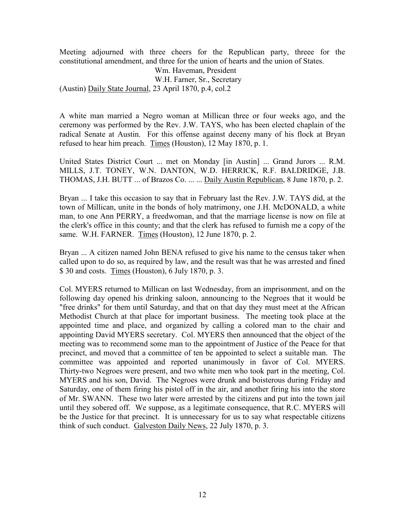Meeting adjourned with three cheers for the Republican party, threee for the constitutional amendment, and three for the union of hearts and the union of States.

Wm. Haveman, President W.H. Farner, Sr., Secretary (Austin) Daily State Journal, 23 April 1870, p.4, col.2

A white man married a Negro woman at Millican three or four weeks ago, and the ceremony was performed by the Rev. J.W. TAYS, who has been elected chaplain of the radical Senate at Austin. For this offense against deceny many of his flock at Bryan refused to hear him preach. Times (Houston), 12 May 1870, p. 1.

United States District Court ... met on Monday [in Austin] ... Grand Jurors ... R.M. MILLS, J.T. TONEY, W.N. DANTON, W.D. HERRICK, R.F. BALDRIDGE, J.B. THOMAS, J.H. BUTT ... of Brazos Co. ... ... Daily Austin Republican, 8 June 1870, p. 2.

Bryan ... I take this occasion to say that in February last the Rev. J.W. TAYS did, at the town of Millican, unite in the bonds of holy matrimony, one J.H. McDONALD, a white man, to one Ann PERRY, a freedwoman, and that the marriage license is now on file at the clerk's office in this county; and that the clerk has refused to furnish me a copy of the same. W.H. FARNER. Times (Houston), 12 June 1870, p. 2.

Bryan ... A citizen named John BENA refused to give his name to the census taker when called upon to do so, as required by law, and the result was that he was arrested and fined \$ 30 and costs. Times (Houston), 6 July 1870, p. 3.

Col. MYERS returned to Millican on last Wednesday, from an imprisonment, and on the following day opened his drinking saloon, announcing to the Negroes that it would be "free drinks" for them until Saturday, and that on that day they must meet at the African Methodist Church at that place for important business. The meeting took place at the appointed time and place, and organized by calling a colored man to the chair and appointing David MYERS secretary. Col. MYERS then announced that the object of the meeting was to recommend some man to the appointment of Justice of the Peace for that precinct, and moved that a committee of ten be appointed to select a suitable man. The committee was appointed and reported unanimously in favor of Col. MYERS. Thirty-two Negroes were present, and two white men who took part in the meeting, Col. MYERS and his son, David. The Negroes were drunk and boisterous during Friday and Saturday, one of them firing his pistol off in the air, and another firing his into the store of Mr. SWANN. These two later were arrested by the citizens and put into the town jail until they sobered off. We suppose, as a legitimate consequence, that R.C. MYERS will be the Justice for that precinct. It is unnecessary for us to say what respectable citizens think of such conduct. Galveston Daily News, 22 July 1870, p. 3.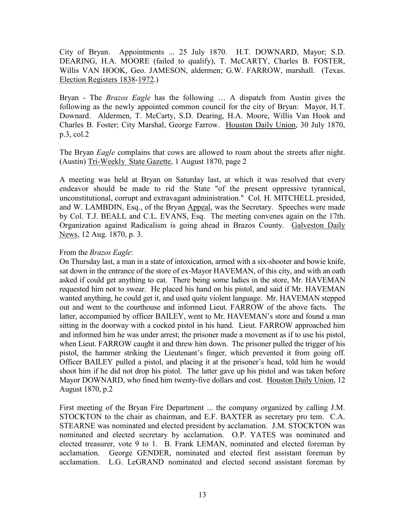City of Bryan. Appointments ... 25 July 1870. H.T. DOWNARD, Mayor; S.D. DEARING, H.A. MOORE (failed to qualify), T. McCARTY, Charles B. FOSTER, Willis VAN HOOK, Geo. JAMESON, aldermen; G.W. FARROW, marshall. (Texas. Election Registers 1838-1972.)

Bryan - The *Brazos Eagle* has the following … A dispatch from Austin gives the following as the newly appointed common council for the city of Bryan: Mayor, H.T. Downard. Aldermen, T. McCarty, S.D. Dearing, H.A. Moore, Willis Van Hook and Charles B. Foster; City Marshal, George Farrow. Houston Daily Union, 30 July 1870, p.3, col.2

The Bryan *Eagle* complains that cows are allowed to roam about the streets after night. (Austin) Tri-Weekly State Gazette, 1 August 1870, page 2

A meeting was held at Bryan on Saturday last, at which it was resolved that every endeavor should be made to rid the State "of the present oppressive tyrannical, unconstitutional, corrupt and extravagant administration." Col. H. MITCHELL presided, and W. LAMBDIN, Esq., of the Bryan Appeal, was the Secretary. Speeches were made by Col. T.J. BEALL and C.L. EVANS, Esq. The meeting convenes again on the 17th. Organization against Radicalism is going ahead in Brazos County. Galveston Daily News, 12 Aug. 1870, p. 3.

# From the *Brazos Eagle*:

On Thursday last, a man in a state of intoxication, armed with a six-shooter and bowie knife, sat down in the entrance of the store of ex-Mayor HAVEMAN, of this city, and with an oath asked if could get anything to eat. There being some ladies in the store, Mr. HAVEMAN requested him not to swear. He placed his hand on his pistol, and said if Mr. HAVEMAN wanted anything, he could get it, and used quite violent language. Mr. HAVEMAN stepped out and went to the courthouse and informed Lieut. FARROW of the above facts. The latter, accompanied by officer BAILEY, went to Mr. HAVEMAN's store and found a man sitting in the doorway with a cocked pistol in his hand. Lieut. FARROW approached him and informed him he was under arrest; the prisoner made a movement as if to use his pistol, when Lieut. FARROW caught it and threw him down. The prisoner pulled the trigger of his pistol, the hammer striking the Lieutenant's finger, which prevented it from going off. Officer BAILEY pulled a pistol, and placing it at the prisoner's head, told him he would shoot him if he did not drop his pistol. The latter gave up his pistol and was taken before Mayor DOWNARD, who fined him twenty-five dollars and cost. Houston Daily Union, 12 August 1870, p.2

First meeting of the Bryan Fire Department ... the company organized by calling J.M. STOCKTON to the chair as chairman, and E.F. BAXTER as secretary pro tem. C.A. STEARNE was nominated and elected president by acclamation. J.M. STOCKTON was nominated and elected secretary by acclamation. O.P. YATES was nominated and elected treasurer, vote 9 to 1. B. Frank LEMAN, nominated and elected foreman by acclamation. George GENDER, nominated and elected first assistant foreman by acclamation. L.G. LeGRAND nominated and elected second assistant foreman by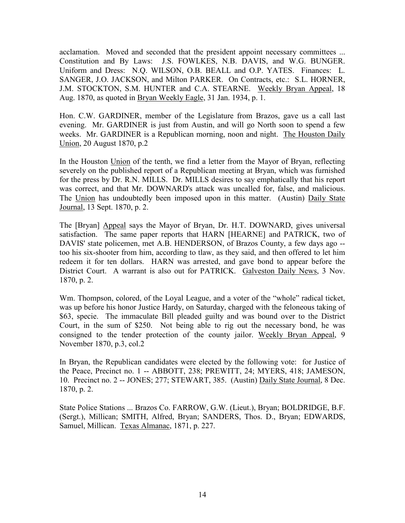acclamation. Moved and seconded that the president appoint necessary committees ... Constitution and By Laws: J.S. FOWLKES, N.B. DAVIS, and W.G. BUNGER. Uniform and Dress: N.Q. WILSON, O.B. BEALL and O.P. YATES. Finances: L. SANGER, J.O. JACKSON, and Milton PARKER. On Contracts, etc.: S.L. HORNER, J.M. STOCKTON, S.M. HUNTER and C.A. STEARNE. Weekly Bryan Appeal, 18 Aug. 1870, as quoted in Bryan Weekly Eagle, 31 Jan. 1934, p. 1.

Hon. C.W. GARDINER, member of the Legislature from Brazos, gave us a call last evening. Mr. GARDINER is just from Austin, and will go North soon to spend a few weeks. Mr. GARDINER is a Republican morning, noon and night. The Houston Daily Union, 20 August 1870, p.2

In the Houston Union of the tenth, we find a letter from the Mayor of Bryan, reflecting severely on the published report of a Republican meeting at Bryan, which was furnished for the press by Dr. R.N. MILLS. Dr. MILLS desires to say emphatically that his report was correct, and that Mr. DOWNARD's attack was uncalled for, false, and malicious. The Union has undoubtedly been imposed upon in this matter. (Austin) Daily State Journal, 13 Sept. 1870, p. 2.

The [Bryan] Appeal says the Mayor of Bryan, Dr. H.T. DOWNARD, gives universal satisfaction. The same paper reports that HARN [HEARNE] and PATRICK, two of DAVIS' state policemen, met A.B. HENDERSON, of Brazos County, a few days ago - too his six-shooter from him, according to tlaw, as they said, and then offered to let him redeem it for ten dollars. HARN was arrested, and gave bond to appear before the District Court. A warrant is also out for PATRICK. Galveston Daily News, 3 Nov. 1870, p. 2.

Wm. Thompson, colored, of the Loyal League, and a voter of the "whole" radical ticket, was up before his honor Justice Hardy, on Saturday, charged with the feloneous taking of \$63, specie. The immaculate Bill pleaded guilty and was bound over to the District Court, in the sum of \$250. Not being able to rig out the necessary bond, he was consigned to the tender protection of the county jailor. Weekly Bryan Appeal, 9 November 1870, p.3, col.2

In Bryan, the Republican candidates were elected by the following vote: for Justice of the Peace, Precinct no. 1 -- ABBOTT, 238; PREWITT, 24; MYERS, 418; JAMESON, 10. Precinct no. 2 -- JONES; 277; STEWART, 385. (Austin) Daily State Journal, 8 Dec. 1870, p. 2.

State Police Stations ... Brazos Co. FARROW, G.W. (Lieut.), Bryan; BOLDRIDGE, B.F. (Sergt.), Millican; SMITH, Alfred, Bryan; SANDERS, Thos. D., Bryan; EDWARDS, Samuel, Millican. Texas Almanac, 1871, p. 227.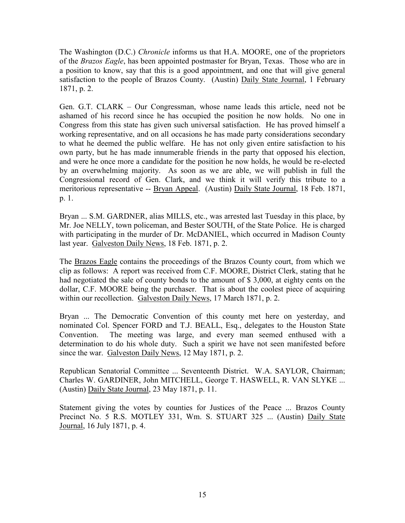The Washington (D.C.) *Chronicle* informs us that H.A. MOORE, one of the proprietors of the *Brazos Eagle*, has been appointed postmaster for Bryan, Texas. Those who are in a position to know, say that this is a good appointment, and one that will give general satisfaction to the people of Brazos County. (Austin) Daily State Journal, 1 February 1871, p. 2.

Gen. G.T. CLARK – Our Congressman, whose name leads this article, need not be ashamed of his record since he has occupied the position he now holds. No one in Congress from this state has given such universal satisfaction. He has proved himself a working representative, and on all occasions he has made party considerations secondary to what he deemed the public welfare. He has not only given entire satisfaction to his own party, but he has made innumerable friends in the party that opposed his election, and were he once more a candidate for the position he now holds, he would be re-elected by an overwhelming majority. As soon as we are able, we will publish in full the Congressional record of Gen. Clark, and we think it will verify this tribute to a meritorious representative -- Bryan Appeal. (Austin) Daily State Journal, 18 Feb. 1871, p. 1.

Bryan ... S.M. GARDNER, alias MILLS, etc., was arrested last Tuesday in this place, by Mr. Joe NELLY, town policeman, and Bester SOUTH, of the State Police. He is charged with participating in the murder of Dr. McDANIEL, which occurred in Madison County last year. Galveston Daily News, 18 Feb. 1871, p. 2.

The Brazos Eagle contains the proceedings of the Brazos County court, from which we clip as follows: A report was received from C.F. MOORE, District Clerk, stating that he had negotiated the sale of county bonds to the amount of \$ 3,000, at eighty cents on the dollar, C.F. MOORE being the purchaser. That is about the coolest piece of acquiring within our recollection. Galveston Daily News, 17 March 1871, p. 2.

Bryan ... The Democratic Convention of this county met here on yesterday, and nominated Col. Spencer FORD and T.J. BEALL, Esq., delegates to the Houston State Convention. The meeting was large, and every man seemed enthused with a determination to do his whole duty. Such a spirit we have not seen manifested before since the war. Galveston Daily News, 12 May 1871, p. 2.

Republican Senatorial Committee ... Seventeenth District. W.A. SAYLOR, Chairman; Charles W. GARDINER, John MITCHELL, George T. HASWELL, R. VAN SLYKE ... (Austin) Daily State Journal, 23 May 1871, p. 11.

Statement giving the votes by counties for Justices of the Peace ... Brazos County Precinct No. 5 R.S. MOTLEY 331, Wm. S. STUART 325 ... (Austin) Daily State Journal, 16 July 1871, p. 4.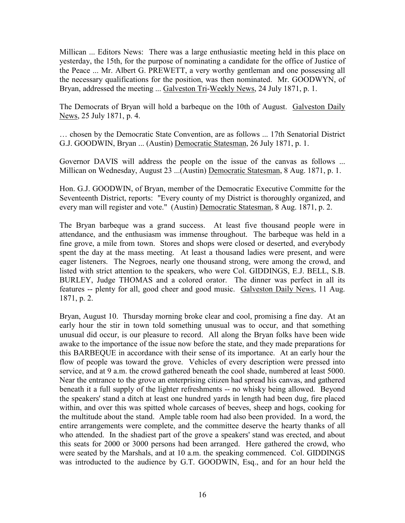Millican ... Editors News: There was a large enthusiastic meeting held in this place on yesterday, the 15th, for the purpose of nominating a candidate for the office of Justice of the Peace ... Mr. Albert G. PREWETT, a very worthy gentleman and one possessing all the necessary qualifications for the position, was then nominated. Mr. GOODWYN, of Bryan, addressed the meeting ... Galveston Tri-Weekly News, 24 July 1871, p. 1.

The Democrats of Bryan will hold a barbeque on the 10th of August. Galveston Daily News, 25 July 1871, p. 4.

… chosen by the Democratic State Convention, are as follows ... 17th Senatorial District G.J. GOODWIN, Bryan ... (Austin) Democratic Statesman, 26 July 1871, p. 1.

Governor DAVIS will address the people on the issue of the canvas as follows ... Millican on Wednesday, August 23 ...(Austin) Democratic Statesman, 8 Aug. 1871, p. 1.

Hon. G.J. GOODWIN, of Bryan, member of the Democratic Executive Committe for the Seventeenth District, reports: "Every county of my District is thoroughly organized, and every man will register and vote." (Austin) Democratic Statesman, 8 Aug. 1871, p. 2.

The Bryan barbeque was a grand success. At least five thousand people were in attendance, and the enthusiasm was immense throughout. The barbeque was held in a fine grove, a mile from town. Stores and shops were closed or deserted, and everybody spent the day at the mass meeting. At least a thousand ladies were present, and were eager listeners. The Negroes, nearly one thousand strong, were among the crowd, and listed with strict attention to the speakers, who were Col. GIDDINGS, E.J. BELL, S.B. BURLEY, Judge THOMAS and a colored orator. The dinner was perfect in all its features -- plenty for all, good cheer and good music. Galveston Daily News, 11 Aug. 1871, p. 2.

Bryan, August 10. Thursday morning broke clear and cool, promising a fine day. At an early hour the stir in town told something unusual was to occur, and that something unusual did occur, is our pleasure to record. All along the Bryan folks have been wide awake to the importance of the issue now before the state, and they made preparations for this BARBEQUE in accordance with their sense of its importance. At an early hour the flow of people was toward the grove. Vehicles of every description were pressed into service, and at 9 a.m. the crowd gathered beneath the cool shade, numbered at least 5000. Near the entrance to the grove an enterprising citizen had spread his canvas, and gathered beneath it a full supply of the lighter refreshments -- no whisky being allowed. Beyond the speakers' stand a ditch at least one hundred yards in length had been dug, fire placed within, and over this was spitted whole carcases of beeves, sheep and hogs, cooking for the multitude about the stand. Ample table room had also been provided. In a word, the entire arrangements were complete, and the committee deserve the hearty thanks of all who attended. In the shadiest part of the grove a speakers' stand was erected, and about this seats for 2000 or 3000 persons had been arranged. Here gathered the crowd, who were seated by the Marshals, and at 10 a.m. the speaking commenced. Col. GIDDINGS was introducted to the audience by G.T. GOODWIN, Esq., and for an hour held the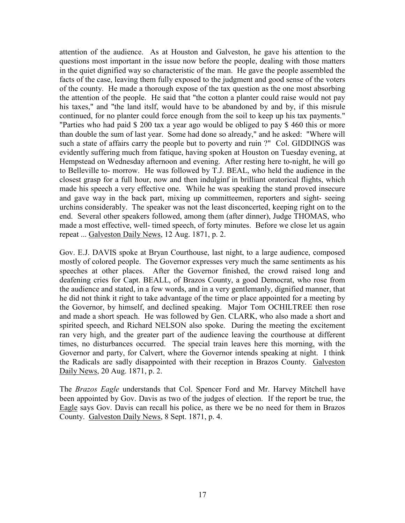attention of the audience. As at Houston and Galveston, he gave his attention to the questions most important in the issue now before the people, dealing with those matters in the quiet dignified way so characteristic of the man. He gave the people assembled the facts of the case, leaving them fully exposed to the judgment and good sense of the voters of the county. He made a thorough expose of the tax question as the one most absorbing the attention of the people. He said that "the cotton a planter could raise would not pay his taxes," and "the land itslf, would have to be abandoned by and by, if this misrule continued, for no planter could force enough from the soil to keep up his tax payments." "Parties who had paid \$ 200 tax a year ago would be obliged to pay \$ 460 this or more than double the sum of last year. Some had done so already," and he asked: "Where will such a state of affairs carry the people but to poverty and ruin ?" Col. GIDDINGS was evidently suffering much from fatique, having spoken at Houston on Tuesday evening, at Hempstead on Wednesday afternoon and evening. After resting here to-night, he will go to Belleville to- morrow. He was followed by T.J. BEAL, who held the audience in the closest grasp for a full hour, now and then indulginf in brilliant oratorical flights, which made his speech a very effective one. While he was speaking the stand proved insecure and gave way in the back part, mixing up committeemen, reporters and sight- seeing urchins considerably. The speaker was not the least disconcerted, keeping right on to the end. Several other speakers followed, among them (after dinner), Judge THOMAS, who made a most effective, well- timed speech, of forty minutes. Before we close let us again repeat ... Galveston Daily News, 12 Aug. 1871, p. 2.

Gov. E.J. DAVIS spoke at Bryan Courthouse, last night, to a large audience, composed mostly of colored people. The Governor expresses very much the same sentiments as his speeches at other places. After the Governor finished, the crowd raised long and deafening cries for Capt. BEALL, of Brazos County, a good Democrat, who rose from the audience and stated, in a few words, and in a very gentlemanly, dignified manner, that he did not think it right to take advantage of the time or place appointed for a meeting by the Governor, by himself, and declined speaking. Major Tom OCHILTREE then rose and made a short speach. He was followed by Gen. CLARK, who also made a short and spirited speech, and Richard NELSON also spoke. During the meeting the excitement ran very high, and the greater part of the audience leaving the courthouse at different times, no disturbances occurred. The special train leaves here this morning, with the Governor and party, for Calvert, where the Governor intends speaking at night. I think the Radicals are sadly disappointed with their reception in Brazos County. Galveston Daily News, 20 Aug. 1871, p. 2.

The *Brazos Eagle* understands that Col. Spencer Ford and Mr. Harvey Mitchell have been appointed by Gov. Davis as two of the judges of election. If the report be true, the Eagle says Gov. Davis can recall his police, as there we be no need for them in Brazos County. Galveston Daily News, 8 Sept. 1871, p. 4.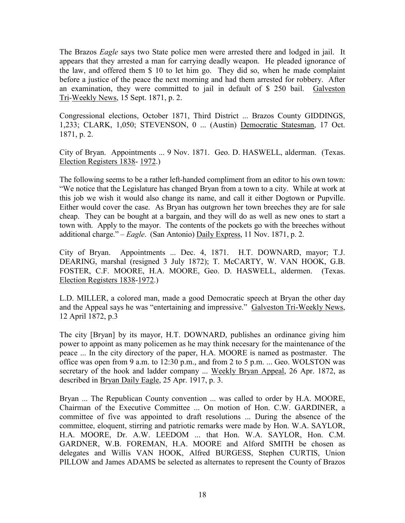The Brazos *Eagle* says two State police men were arrested there and lodged in jail. It appears that they arrested a man for carrying deadly weapon. He pleaded ignorance of the law, and offered them \$ 10 to let him go. They did so, when he made complaint before a justice of the peace the next morning and had them arrested for robbery. After an examination, they were committed to jail in default of \$ 250 bail. Galveston Tri-Weekly News, 15 Sept. 1871, p. 2.

Congressional elections, October 1871, Third District ... Brazos County GIDDINGS, 1,233; CLARK, 1,050; STEVENSON, 0 ... (Austin) Democratic Statesman, 17 Oct. 1871, p. 2.

City of Bryan. Appointments ... 9 Nov. 1871. Geo. D. HASWELL, alderman. (Texas. Election Registers 1838- 1972.)

The following seems to be a rather left-handed compliment from an editor to his own town: "We notice that the Legislature has changed Bryan from a town to a city. While at work at this job we wish it would also change its name, and call it either Dogtown or Pupville. Either would cover the case. As Bryan has outgrown her town breeches they are for sale cheap. They can be bought at a bargain, and they will do as well as new ones to start a town with. Apply to the mayor. The contents of the pockets go with the breeches without additional charge." – *Eagle*. (San Antonio) Daily Express, 11 Nov. 1871, p. 2.

City of Bryan. Appointments ... Dec. 4, 1871. H.T. DOWNARD, mayor; T.J. DEARING, marshal (resigned 3 July 1872); T. McCARTY, W. VAN HOOK, G.B. FOSTER, C.F. MOORE, H.A. MOORE, Geo. D. HASWELL, aldermen. (Texas. Election Registers 1838-1972.)

L.D. MILLER, a colored man, made a good Democratic speech at Bryan the other day and the Appeal says he was "entertaining and impressive." Galveston Tri-Weekly News, 12 April 1872, p.3

The city [Bryan] by its mayor, H.T. DOWNARD, publishes an ordinance giving him power to appoint as many policemen as he may think necesary for the maintenance of the peace ... In the city directory of the paper, H.A. MOORE is named as postmaster. The office was open from 9 a.m. to 12:30 p.m., and from 2 to 5 p.m. ... Geo. WOLSTON was secretary of the hook and ladder company ... Weekly Bryan Appeal, 26 Apr. 1872, as described in Bryan Daily Eagle, 25 Apr. 1917, p. 3.

Bryan ... The Republican County convention ... was called to order by H.A. MOORE, Chairman of the Executive Committee ... On motion of Hon. C.W. GARDINER, a committee of five was appointed to draft resolutions ... During the absence of the committee, eloquent, stirring and patriotic remarks were made by Hon. W.A. SAYLOR, H.A. MOORE, Dr. A.W. LEEDOM ... that Hon. W.A. SAYLOR, Hon. C.M. GARDNER, W.B. FOREMAN, H.A. MOORE and Alford SMITH be chosen as delegates and Willis VAN HOOK, Alfred BURGESS, Stephen CURTIS, Union PILLOW and James ADAMS be selected as alternates to represent the County of Brazos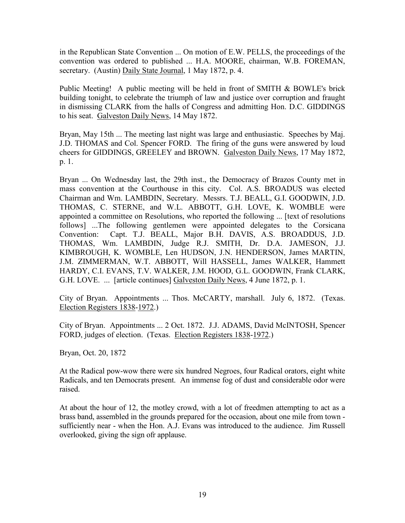in the Republican State Convention ... On motion of E.W. PELLS, the proceedings of the convention was ordered to published ... H.A. MOORE, chairman, W.B. FOREMAN, secretary. (Austin) Daily State Journal, 1 May 1872, p. 4.

Public Meeting! A public meeting will be held in front of SMITH & BOWLE's brick building tonight, to celebrate the triumph of law and justice over corruption and fraught in dismissing CLARK from the halls of Congress and admitting Hon. D.C. GIDDINGS to his seat. Galveston Daily News, 14 May 1872.

Bryan, May 15th ... The meeting last night was large and enthusiastic. Speeches by Maj. J.D. THOMAS and Col. Spencer FORD. The firing of the guns were answered by loud cheers for GIDDINGS, GREELEY and BROWN. Galveston Daily News, 17 May 1872, p. 1.

Bryan ... On Wednesday last, the 29th inst., the Democracy of Brazos County met in mass convention at the Courthouse in this city. Col. A.S. BROADUS was elected Chairman and Wm. LAMBDIN, Secretary. Messrs. T.J. BEALL, G.I. GOODWIN, J.D. THOMAS, C. STERNE, and W.L. ABBOTT, G.H. LOVE, K. WOMBLE were appointed a committee on Resolutions, who reported the following ... [text of resolutions follows] ...The following gentlemen were appointed delegates to the Corsicana Convention: Capt. T.J. BEALL, Major B.H. DAVIS, A.S. BROADDUS, J.D. THOMAS, Wm. LAMBDIN, Judge R.J. SMITH, Dr. D.A. JAMESON, J.J. KIMBROUGH, K. WOMBLE, Len HUDSON, J.N. HENDERSON, James MARTIN, J.M. ZIMMERMAN, W.T. ABBOTT, Will HASSELL, James WALKER, Hammett HARDY, C.I. EVANS, T.V. WALKER, J.M. HOOD, G.L. GOODWIN, Frank CLARK, G.H. LOVE. ... [article continues] Galveston Daily News, 4 June 1872, p. 1.

City of Bryan. Appointments ... Thos. McCARTY, marshall. July 6, 1872. (Texas. Election Registers 1838-1972.)

City of Bryan. Appointments ... 2 Oct. 1872. J.J. ADAMS, David McINTOSH, Spencer FORD, judges of election. (Texas. Election Registers 1838-1972.)

Bryan, Oct. 20, 1872

At the Radical pow-wow there were six hundred Negroes, four Radical orators, eight white Radicals, and ten Democrats present. An immense fog of dust and considerable odor were raised.

At about the hour of 12, the motley crowd, with a lot of freedmen attempting to act as a brass band, assembled in the grounds prepared for the occasion, about one mile from town sufficiently near - when the Hon. A.J. Evans was introduced to the audience. Jim Russell overlooked, giving the sign ofr applause.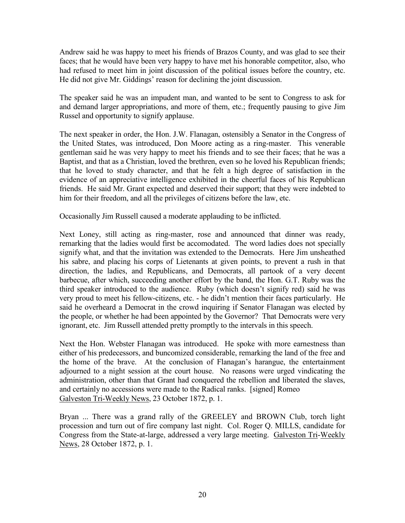Andrew said he was happy to meet his friends of Brazos County, and was glad to see their faces; that he would have been very happy to have met his honorable competitor, also, who had refused to meet him in joint discussion of the political issues before the country, etc. He did not give Mr. Giddings' reason for declining the joint discussion.

The speaker said he was an impudent man, and wanted to be sent to Congress to ask for and demand larger appropriations, and more of them, etc.; frequently pausing to give Jim Russel and opportunity to signify applause.

The next speaker in order, the Hon. J.W. Flanagan, ostensibly a Senator in the Congress of the United States, was introduced, Don Moore acting as a ring-master. This venerable gentleman said he was very happy to meet his friends and to see their faces; that he was a Baptist, and that as a Christian, loved the brethren, even so he loved his Republican friends; that he loved to study character, and that he felt a high degree of satisfaction in the evidence of an appreciative intelligence exhibited in the cheerful faces of his Republican friends. He said Mr. Grant expected and deserved their support; that they were indebted to him for their freedom, and all the privileges of citizens before the law, etc.

Occasionally Jim Russell caused a moderate applauding to be inflicted.

Next Loney, still acting as ring-master, rose and announced that dinner was ready, remarking that the ladies would first be accomodated. The word ladies does not specially signify what, and that the invitation was extended to the Democrats. Here Jim unsheathed his sabre, and placing his corps of Lietenants at given points, to prevent a rush in that direction, the ladies, and Republicans, and Democrats, all partook of a very decent barbecue, after which, succeeding another effort by the band, the Hon. G.T. Ruby was the third speaker introduced to the audience. Ruby (which doesn't signify red) said he was very proud to meet his fellow-citizens, etc. - he didn't mention their faces particularly. He said he overheard a Democrat in the crowd inquiring if Senator Flanagan was elected by the people, or whether he had been appointed by the Governor? That Democrats were very ignorant, etc. Jim Russell attended pretty promptly to the intervals in this speech.

Next the Hon. Webster Flanagan was introduced. He spoke with more earnestness than either of his predecessors, and buncomized considerable, remarking the land of the free and the home of the brave. At the conclusion of Flanagan's harangue, the entertainment adjourned to a night session at the court house. No reasons were urged vindicating the administration, other than that Grant had conquered the rebellion and liberated the slaves, and certainly no accessions were made to the Radical ranks. [signed] Romeo Galveston Tri-Weekly News, 23 October 1872, p. 1.

Bryan ... There was a grand rally of the GREELEY and BROWN Club, torch light procession and turn out of fire company last night. Col. Roger Q. MILLS, candidate for Congress from the State-at-large, addressed a very large meeting. Galveston Tri-Weekly News, 28 October 1872, p. 1.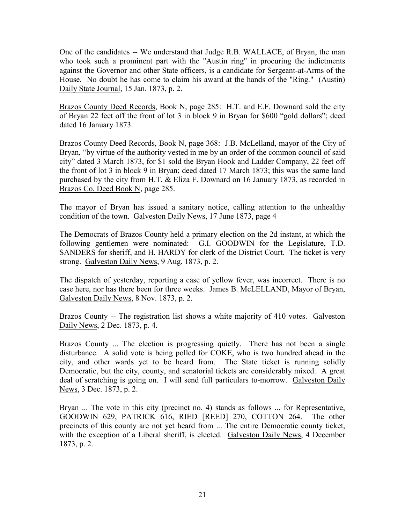One of the candidates -- We understand that Judge R.B. WALLACE, of Bryan, the man who took such a prominent part with the "Austin ring" in procuring the indictments against the Governor and other State officers, is a candidate for Sergeant-at-Arms of the House. No doubt he has come to claim his award at the hands of the "Ring." (Austin) Daily State Journal, 15 Jan. 1873, p. 2.

Brazos County Deed Records, Book N, page 285: H.T. and E.F. Downard sold the city of Bryan 22 feet off the front of lot 3 in block 9 in Bryan for \$600 "gold dollars"; deed dated 16 January 1873.

Brazos County Deed Records, Book N, page 368: J.B. McLelland, mayor of the City of Bryan, "by virtue of the authority vested in me by an order of the common council of said city" dated 3 March 1873, for \$1 sold the Bryan Hook and Ladder Company, 22 feet off the front of lot 3 in block 9 in Bryan; deed dated 17 March 1873; this was the same land purchased by the city from H.T. & Eliza F. Downard on 16 January 1873, as recorded in Brazos Co. Deed Book N, page 285.

The mayor of Bryan has issued a sanitary notice, calling attention to the unhealthy condition of the town. Galveston Daily News, 17 June 1873, page 4

The Democrats of Brazos County held a primary election on the 2d instant, at which the following gentlemen were nominated: G.I. GOODWIN for the Legislature, T.D. SANDERS for sheriff, and H. HARDY for clerk of the District Court. The ticket is very strong. Galveston Daily News, 9 Aug. 1873, p. 2.

The dispatch of yesterday, reporting a case of yellow fever, was incorrect. There is no case here, nor has there been for three weeks. James B. McLELLAND, Mayor of Bryan, Galveston Daily News, 8 Nov. 1873, p. 2.

Brazos County -- The registration list shows a white majority of 410 votes. Galveston Daily News, 2 Dec. 1873, p. 4.

Brazos County ... The election is progressing quietly. There has not been a single disturbance. A solid vote is being polled for COKE, who is two hundred ahead in the city, and other wards yet to be heard from. The State ticket is running solidly Democratic, but the city, county, and senatorial tickets are considerably mixed. A great deal of scratching is going on. I will send full particulars to-morrow. Galveston Daily News, 3 Dec. 1873, p. 2.

Bryan ... The vote in this city (precinct no. 4) stands as follows ... for Representative, GOODWIN 629, PATRICK 616, RIED [REED] 270, COTTON 264. The other precincts of this county are not yet heard from ... The entire Democratic county ticket, with the exception of a Liberal sheriff, is elected. Galveston Daily News, 4 December 1873, p. 2.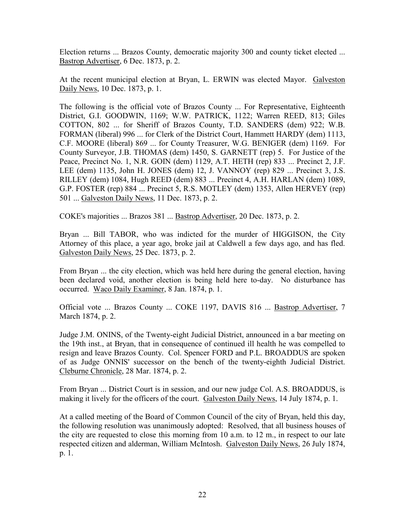Election returns ... Brazos County, democratic majority 300 and county ticket elected ... Bastrop Advertiser, 6 Dec. 1873, p. 2.

At the recent municipal election at Bryan, L. ERWIN was elected Mayor. Galveston Daily News, 10 Dec. 1873, p. 1.

The following is the official vote of Brazos County ... For Representative, Eighteenth District, G.I. GOODWIN, 1169; W.W. PATRICK, 1122; Warren REED, 813; Giles COTTON, 802 ... for Sheriff of Brazos County, T.D. SANDERS (dem) 922; W.B. FORMAN (liberal) 996 ... for Clerk of the District Court, Hammett HARDY (dem) 1113, C.F. MOORE (liberal) 869 ... for County Treasurer, W.G. BENIGER (dem) 1169. For County Surveyor, J.B. THOMAS (dem) 1450, S. GARNETT (rep) 5. For Justice of the Peace, Precinct No. 1, N.R. GOIN (dem) 1129, A.T. HETH (rep) 833 ... Precinct 2, J.F. LEE (dem) 1135, John H. JONES (dem) 12, J. VANNOY (rep) 829 ... Precinct 3, J.S. RILLEY (dem) 1084, Hugh REED (dem) 883 ... Precinct 4, A.H. HARLAN (dem) 1089, G.P. FOSTER (rep) 884 ... Precinct 5, R.S. MOTLEY (dem) 1353, Allen HERVEY (rep) 501 ... Galveston Daily News, 11 Dec. 1873, p. 2.

COKE's majorities ... Brazos 381 ... Bastrop Advertiser, 20 Dec. 1873, p. 2.

Bryan ... Bill TABOR, who was indicted for the murder of HIGGISON, the City Attorney of this place, a year ago, broke jail at Caldwell a few days ago, and has fled. Galveston Daily News, 25 Dec. 1873, p. 2.

From Bryan ... the city election, which was held here during the general election, having been declared void, another election is being held here to-day. No disturbance has occurred. Waco Daily Examiner, 8 Jan. 1874, p. 1.

Official vote ... Brazos County ... COKE 1197, DAVIS 816 ... Bastrop Advertiser, 7 March 1874, p. 2.

Judge J.M. ONINS, of the Twenty-eight Judicial District, announced in a bar meeting on the 19th inst., at Bryan, that in consequence of continued ill health he was compelled to resign and leave Brazos County. Col. Spencer FORD and P.L. BROADDUS are spoken of as Judge ONNIS' successor on the bench of the twenty-eighth Judicial District. Cleburne Chronicle, 28 Mar. 1874, p. 2.

From Bryan ... District Court is in session, and our new judge Col. A.S. BROADDUS, is making it lively for the officers of the court. Galveston Daily News, 14 July 1874, p. 1.

At a called meeting of the Board of Common Council of the city of Bryan, held this day, the following resolution was unanimously adopted: Resolved, that all business houses of the city are requested to close this morning from 10 a.m. to 12 m., in respect to our late respected citizen and alderman, William McIntosh. Galveston Daily News, 26 July 1874, p. 1.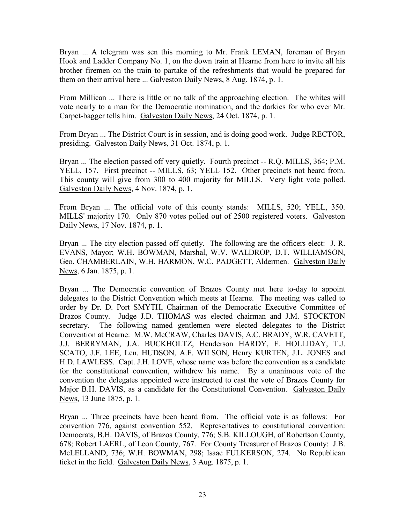Bryan ... A telegram was sen this morning to Mr. Frank LEMAN, foreman of Bryan Hook and Ladder Company No. 1, on the down train at Hearne from here to invite all his brother firemen on the train to partake of the refreshments that would be prepared for them on their arrival here ... Galveston Daily News, 8 Aug. 1874, p. 1.

From Millican ... There is little or no talk of the approaching election. The whites will vote nearly to a man for the Democratic nomination, and the darkies for who ever Mr. Carpet-bagger tells him. Galveston Daily News, 24 Oct. 1874, p. 1.

From Bryan ... The District Court is in session, and is doing good work. Judge RECTOR, presiding. Galveston Daily News, 31 Oct. 1874, p. 1.

Bryan ... The election passed off very quietly. Fourth precinct -- R.Q. MILLS, 364; P.M. YELL, 157. First precinct -- MILLS, 63; YELL 152. Other precincts not heard from. This county will give from 300 to 400 majority for MILLS. Very light vote polled. Galveston Daily News, 4 Nov. 1874, p. 1.

From Bryan ... The official vote of this county stands: MILLS, 520; YELL, 350. MILLS' majority 170. Only 870 votes polled out of 2500 registered voters. Galveston Daily News, 17 Nov. 1874, p. 1.

Bryan ... The city election passed off quietly. The following are the officers elect: J. R. EVANS, Mayor; W.H. BOWMAN, Marshal, W.V. WALDROP, D.T. WILLIAMSON, Geo. CHAMBERLAIN, W.H. HARMON, W.C. PADGETT, Aldermen. Galveston Daily News, 6 Jan. 1875, p. 1.

Bryan ... The Democratic convention of Brazos County met here to-day to appoint delegates to the District Convention which meets at Hearne. The meeting was called to order by Dr. D. Port SMYTH, Chairman of the Democratic Executive Committee of Brazos County. Judge J.D. THOMAS was elected chairman and J.M. STOCKTON secretary. The following named gentlemen were elected delegates to the District Convention at Hearne: M.W. McCRAW, Charles DAVIS, A.C. BRADY, W.R. CAVETT, J.J. BERRYMAN, J.A. BUCKHOLTZ, Henderson HARDY, F. HOLLIDAY, T.J. SCATO, J.F. LEE, Len. HUDSON, A.F. WILSON, Henry KURTEN, J.L. JONES and H.D. LAWLESS. Capt. J.H. LOVE, whose name was before the convention as a candidate for the constitutional convention, withdrew his name. By a unanimous vote of the convention the delegates appointed were instructed to cast the vote of Brazos County for Major B.H. DAVIS, as a candidate for the Constitutional Convention. Galveston Daily News, 13 June 1875, p. 1.

Bryan ... Three precincts have been heard from. The official vote is as follows: For convention 776, against convention 552. Representatives to constitutional convention: Democrats, B.H. DAVIS, of Brazos County, 776; S.B. KILLOUGH, of Robertson County, 678; Robert LAERL, of Leon County, 767. For County Treasurer of Brazos County: J.B. McLELLAND, 736; W.H. BOWMAN, 298; Isaac FULKERSON, 274. No Republican ticket in the field. Galveston Daily News, 3 Aug. 1875, p. 1.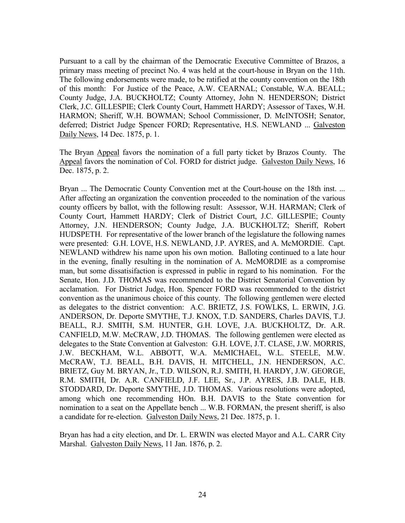Pursuant to a call by the chairman of the Democratic Executive Committee of Brazos, a primary mass meeting of precinct No. 4 was held at the court-house in Bryan on the 11th. The following endorsements were made, to be ratified at the county convention on the 18th of this month: For Justice of the Peace, A.W. CEARNAL; Constable, W.A. BEALL; County Judge, J.A. BUCKHOLTZ; County Attorney, John N. HENDERSON; District Clerk, J.C. GILLESPIE; Clerk County Court, Hammett HARDY; Assessor of Taxes, W.H. HARMON; Sheriff, W.H. BOWMAN; School Commissioner, D. McINTOSH; Senator, deferred; District Judge Spencer FORD; Representative, H.S. NEWLAND ... Galveston Daily News, 14 Dec. 1875, p. 1.

The Bryan Appeal favors the nomination of a full party ticket by Brazos County. The Appeal favors the nomination of Col. FORD for district judge. Galveston Daily News, 16 Dec. 1875, p. 2.

Bryan ... The Democratic County Convention met at the Court-house on the 18th inst. ... After affecting an organization the convention proceeded to the nomination of the various county officers by ballot, with the following result: Assessor, W.H. HARMAN; Clerk of County Court, Hammett HARDY; Clerk of District Court, J.C. GILLESPIE; County Attorney, J.N. HENDERSON; County Judge, J.A. BUCKHOLTZ; Sheriff, Robert HUDSPETH. For representative of the lower branch of the legislature the following names were presented: G.H. LOVE, H.S. NEWLAND, J.P. AYRES, and A. McMORDIE. Capt. NEWLAND withdrew his name upon his own motion. Balloting continued to a late hour in the evening, finally resulting in the nomination of A. McMORDIE as a compromise man, but some dissatisifaction is expressed in public in regard to his nomination. For the Senate, Hon. J.D. THOMAS was recommended to the District Senatorial Convention by acclamation. For District Judge, Hon. Spencer FORD was recommended to the district convention as the unanimous choice of this county. The following gentlemen were elected as delegates to the district convention: A.C. BRIETZ, J.S. FOWLKS, L. ERWIN, J.G. ANDERSON, Dr. Deporte SMYTHE, T.J. KNOX, T.D. SANDERS, Charles DAVIS, T.J. BEALL, R.J. SMITH, S.M. HUNTER, G.H. LOVE, J.A. BUCKHOLTZ, Dr. A.R. CANFIELD, M.W. McCRAW, J.D. THOMAS. The following gentlemen were elected as delegates to the State Convention at Galveston: G.H. LOVE, J.T. CLASE, J.W. MORRIS, J.W. BECKHAM, W.L. ABBOTT, W.A. McMICHAEL, W.L. STEELE, M.W. McCRAW, T.J. BEALL, B.H. DAVIS, H. MITCHELL, J.N. HENDERSON, A.C. BRIETZ, Guy M. BRYAN, Jr., T.D. WILSON, R.J. SMITH, H. HARDY, J.W. GEORGE, R.M. SMITH, Dr. A.R. CANFIELD, J.F. LEE, Sr., J.P. AYRES, J.B. DALE, H.B. STODDARD, Dr. Deporte SMYTHE, J.D. THOMAS. Various resolutions were adopted, among which one recommending HOn. B.H. DAVIS to the State convention for nomination to a seat on the Appellate bench ... W.B. FORMAN, the present sheriff, is also a candidate for re-election. Galveston Daily News, 21 Dec. 1875, p. 1.

Bryan has had a city election, and Dr. L. ERWIN was elected Mayor and A.L. CARR City Marshal. Galveston Daily News, 11 Jan. 1876, p. 2.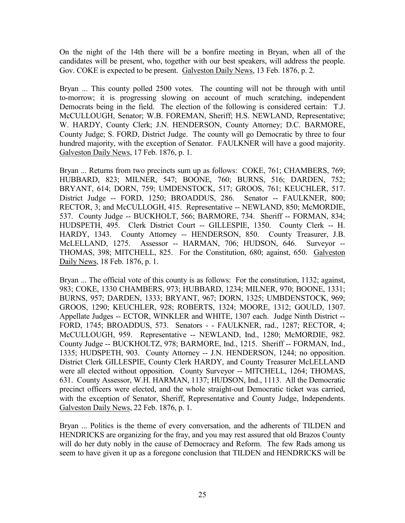On the night of the 14th there will be a bonfire meeting in Bryan, when all of the candidates will be present, who, together with our best speakers, will address the people. Gov. COKE is expected to be present. Galveston Daily News, 13 Feb. 1876, p. 2.

Bryan ... This county polled 2500 votes. The counting will not be through with until to-morrow; it is progressing slowing on account of much scratching, independent Democrats being in the field. The election of the following is considered certain: T.J. McCULLOUGH, Senator; W.B. FOREMAN, Sheriff; H.S. NEWLAND, Representative; W. HARDY, County Clerk; J.N. HENDERSON, County Attorney; D.C. BARMORE, County Judge; S. FORD, District Judge. The county will go Democratic by three to four hundred majority, with the exception of Senator. FAULKNER will have a good majority. Galveston Daily News, 17 Feb. 1876, p. 1.

Bryan ... Returns from two precincts sum up as follows: COKE, 761; CHAMBERS, 769; HUBBARD, 823; MILNER, 547; BOONE, 760; BURNS, 516; DARDEN, 752; BRYANT, 614; DORN, 759; UMDENSTOCK, 517; GROOS, 761; KEUCHLER, 517. District Judge -- FORD, 1250; BROADDUS, 286. Senator -- FAULKNER, 800; RECTOR, 3; and McCULLOGH, 415. Representative -- NEWLAND, 850; McMORDIE, 537. County Judge -- BUCKHOLT, 566; BARMORE, 734. Sheriff -- FORMAN, 834; HUDSPETH, 495. Clerk District Court -- GILLESPIE, 1350. County Clerk -- H. HARDY, 1343. County Attorney -- HENDERSON, 850. County Treasurer, J.B. McLELLAND, 1275. Assessor -- HARMAN, 706; HUDSON, 646. Surveyor --THOMAS, 398; MITCHELL, 825. For the Constitution, 680; against, 650. Galveston Daily News, 18 Feb. 1876, p. 1.

Bryan ... The official vote of this county is as follows: For the constitution, 1132; against, 983; COKE, 1330 CHAMBERS, 973; HUBBARD, 1234; MILNER, 970; BOONE, 1331; BURNS, 957; DARDEN, 1333; BRYANT, 967; DORN, 1325; UMBDENSTOCK, 969; GROOS, 1290; KEUCHLER, 928; ROBERTS, 1324; MOORE, 1312; GOULD, 1307. Appellate Judges -- ECTOR, WINKLER and WHITE, 1307 each. Judge Ninth District -- FORD, 1745; BROADDUS, 573. Senators - - FAULKNER, rad., 1287; RECTOR, 4; McCULLOUGH, 959. Representative -- NEWLAND, Ind., 1280; McMORDIE, 982. County Judge -- BUCKHOLTZ, 978; BARMORE, Ind., 1215. Sheriff -- FORMAN, Ind., 1335; HUDSPETH, 903. County Attorney -- J.N. HENDERSON, 1244; no opposition. District Clerk GILLESPIE, County Clerk HARDY, and County Treasurer McLELLAND were all elected without opposition. County Surveyor -- MITCHELL, 1264; THOMAS, 631. County Assessor, W.H. HARMAN, 1137; HUDSON, Ind., 1113. All the Democratic precinct officers were elected, and the whole straight-out Democratic ticket was carried, with the exception of Senator, Sheriff, Representative and County Judge, Independents. Galveston Daily News, 22 Feb. 1876, p. 1.

Bryan ... Politics is the theme of every conversation, and the adherents of TILDEN and HENDRICKS are organizing for the fray, and you may rest assured that old Brazos County will do her duty nobly in the cause of Democracy and Reform. The few Rads among us seem to have given it up as a foregone conclusion that TILDEN and HENDRICKS will be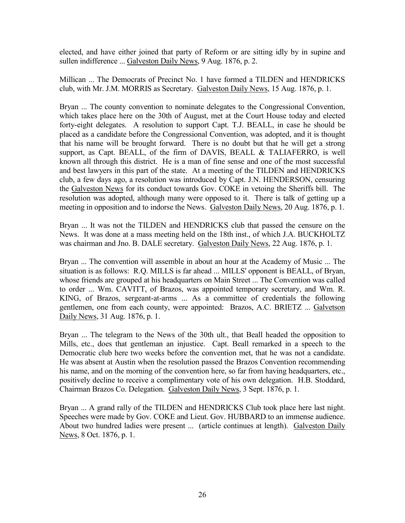elected, and have either joined that party of Reform or are sitting idly by in supine and sullen indifference ... Galveston Daily News, 9 Aug. 1876, p. 2.

Millican ... The Democrats of Precinct No. 1 have formed a TILDEN and HENDRICKS club, with Mr. J.M. MORRIS as Secretary. Galveston Daily News, 15 Aug. 1876, p. 1.

Bryan ... The county convention to nominate delegates to the Congressional Convention, which takes place here on the 30th of August, met at the Court House today and elected forty-eight delegates. A resolution to support Capt. T.J. BEALL, in case he should be placed as a candidate before the Congressional Convention, was adopted, and it is thought that his name will be brought forward. There is no doubt but that he will get a strong support, as Capt. BEALL, of the firm of DAVIS, BEALL & TALIAFERRO, is well known all through this district. He is a man of fine sense and one of the most successful and best lawyers in this part of the state. At a meeting of the TILDEN and HENDRICKS club, a few days ago, a resolution was introduced by Capt. J.N. HENDERSON, censuring the Galveston News for its conduct towards Gov. COKE in vetoing the Sheriffs bill. The resolution was adopted, although many were opposed to it. There is talk of getting up a meeting in opposition and to indorse the News. Galveston Daily News, 20 Aug. 1876, p. 1.

Bryan ... It was not the TILDEN and HENDRICKS club that passed the censure on the News. It was done at a mass meeting held on the 18th inst., of which J.A. BUCKHOLTZ was chairman and Jno. B. DALE secretary. Galveston Daily News, 22 Aug. 1876, p. 1.

Bryan ... The convention will assemble in about an hour at the Academy of Music ... The situation is as follows: R.Q. MILLS is far ahead ... MILLS' opponent is BEALL, of Bryan, whose friends are grouped at his headquarters on Main Street ... The Convention was called to order ... Wm. CAVITT, of Brazos, was appointed temporary secretary, and Wm. R. KING, of Brazos, sergeant-at-arms ... As a committee of credentials the following gentlemen, one from each county, were appointed: Brazos, A.C. BRIETZ ... Galvetson Daily News, 31 Aug. 1876, p. 1.

Bryan ... The telegram to the News of the 30th ult., that Beall headed the opposition to Mills, etc., does that gentleman an injustice. Capt. Beall remarked in a speech to the Democratic club here two weeks before the convention met, that he was not a candidate. He was absent at Austin when the resolution passed the Brazos Convention recommending his name, and on the morning of the convention here, so far from having headquarters, etc., positively decline to receive a complimentary vote of his own delegation. H.B. Stoddard, Chairman Brazos Co. Delegation. Galveston Daily News, 3 Sept. 1876, p. 1.

Bryan ... A grand rally of the TILDEN and HENDRICKS Club took place here last night. Speeches were made by Gov. COKE and Lieut. Gov. HUBBARD to an immense audience. About two hundred ladies were present ... (article continues at length). Galveston Daily News, 8 Oct. 1876, p. 1.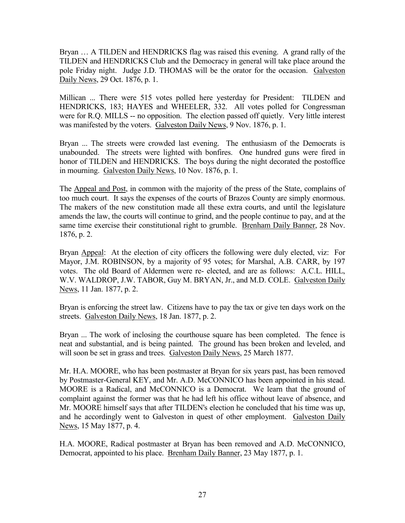Bryan … A TILDEN and HENDRICKS flag was raised this evening. A grand rally of the TILDEN and HENDRICKS Club and the Democracy in general will take place around the pole Friday night. Judge J.D. THOMAS will be the orator for the occasion. Galveston Daily News, 29 Oct. 1876, p. 1.

Millican ... There were 515 votes polled here yesterday for President: TILDEN and HENDRICKS, 183; HAYES and WHEELER, 332. All votes polled for Congressman were for R.Q. MILLS -- no opposition. The election passed off quietly. Very little interest was manifested by the voters. Galveston Daily News, 9 Nov. 1876, p. 1.

Bryan ... The streets were crowded last evening. The enthusiasm of the Democrats is unabounded. The streets were lighted with bonfires. One hundred guns were fired in honor of TILDEN and HENDRICKS. The boys during the night decorated the postoffice in mourning. Galveston Daily News, 10 Nov. 1876, p. 1.

The Appeal and Post, in common with the majority of the press of the State, complains of too much court. It says the expenses of the courts of Brazos County are simply enormous. The makers of the new constitution made all these extra courts, and until the legislature amends the law, the courts will continue to grind, and the people continue to pay, and at the same time exercise their constitutional right to grumble. Brenham Daily Banner, 28 Nov. 1876, p. 2.

Bryan Appeal: At the election of city officers the following were duly elected, viz: For Mayor, J.M. ROBINSON, by a majority of 95 votes; for Marshal, A.B. CARR, by 197 votes. The old Board of Aldermen were re- elected, and are as follows: A.C.L. HILL, W.V. WALDROP, J.W. TABOR, Guy M. BRYAN, Jr., and M.D. COLE. Galveston Daily News, 11 Jan. 1877, p. 2.

Bryan is enforcing the street law. Citizens have to pay the tax or give ten days work on the streets. Galveston Daily News, 18 Jan. 1877, p. 2.

Bryan ... The work of inclosing the courthouse square has been completed. The fence is neat and substantial, and is being painted. The ground has been broken and leveled, and will soon be set in grass and trees. Galveston Daily News, 25 March 1877.

Mr. H.A. MOORE, who has been postmaster at Bryan for six years past, has been removed by Postmaster-General KEY, and Mr. A.D. McCONNICO has been appointed in his stead. MOORE is a Radical, and McCONNICO is a Democrat. We learn that the ground of complaint against the former was that he had left his office without leave of absence, and Mr. MOORE himself says that after TILDEN's election he concluded that his time was up, and he accordingly went to Galveston in quest of other employment. Galveston Daily News, 15 May 1877, p. 4.

H.A. MOORE, Radical postmaster at Bryan has been removed and A.D. McCONNICO, Democrat, appointed to his place. Brenham Daily Banner, 23 May 1877, p. 1.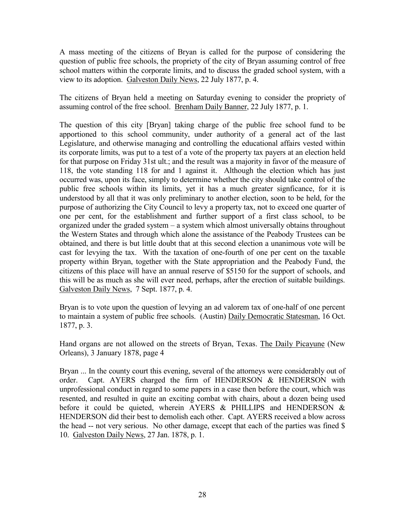A mass meeting of the citizens of Bryan is called for the purpose of considering the question of public free schools, the propriety of the city of Bryan assuming control of free school matters within the corporate limits, and to discuss the graded school system, with a view to its adoption. Galveston Daily News, 22 July 1877, p. 4.

The citizens of Bryan held a meeting on Saturday evening to consider the propriety of assuming control of the free school. Brenham Daily Banner, 22 July 1877, p. 1.

The question of this city [Bryan] taking charge of the public free school fund to be apportioned to this school community, under authority of a general act of the last Legislature, and otherwise managing and controlling the educational affairs vested within its corporate limits, was put to a test of a vote of the property tax payers at an election held for that purpose on Friday 31st ult.; and the result was a majority in favor of the measure of 118, the vote standing 118 for and 1 against it. Although the election which has just occurred was, upon its face, simply to determine whether the city should take control of the public free schools within its limits, yet it has a much greater signficance, for it is understood by all that it was only preliminary to another election, soon to be held, for the purpose of authorizing the City Council to levy a property tax, not to exceed one quarter of one per cent, for the establishment and further support of a first class school, to be organized under the graded system – a system which almost universally obtains throughout the Western States and through which alone the assistance of the Peabody Trustees can be obtained, and there is but little doubt that at this second election a unanimous vote will be cast for levying the tax. With the taxation of one-fourth of one per cent on the taxable property within Bryan, together with the State appropriation and the Peabody Fund, the citizens of this place will have an annual reserve of \$5150 for the support of schools, and this will be as much as she will ever need, perhaps, after the erection of suitable buildings. Galveston Daily News, 7 Sept. 1877, p. 4.

Bryan is to vote upon the question of levying an ad valorem tax of one-half of one percent to maintain a system of public free schools. (Austin) Daily Democratic Statesman, 16 Oct. 1877, p. 3.

Hand organs are not allowed on the streets of Bryan, Texas. The Daily Picayune (New Orleans), 3 January 1878, page 4

Bryan ... In the county court this evening, several of the attorneys were considerably out of order. Capt. AYERS charged the firm of HENDERSON & HENDERSON with unprofessional conduct in regard to some papers in a case then before the court, which was resented, and resulted in quite an exciting combat with chairs, about a dozen being used before it could be quieted, wherein AYERS & PHILLIPS and HENDERSON & HENDERSON did their best to demolish each other. Capt. AYERS received a blow across the head -- not very serious. No other damage, except that each of the parties was fined \$ 10. Galveston Daily News, 27 Jan. 1878, p. 1.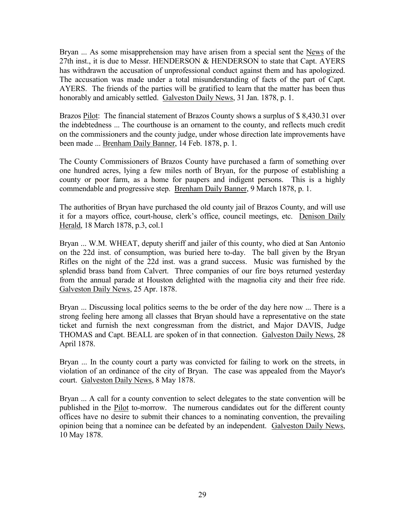Bryan ... As some misapprehension may have arisen from a special sent the News of the 27th inst., it is due to Messr. HENDERSON & HENDERSON to state that Capt. AYERS has withdrawn the accusation of unprofessional conduct against them and has apologized. The accusation was made under a total misunderstanding of facts of the part of Capt. AYERS. The friends of the parties will be gratified to learn that the matter has been thus honorably and amicably settled. Galveston Daily News, 31 Jan. 1878, p. 1.

Brazos Pilot: The financial statement of Brazos County shows a surplus of \$ 8,430.31 over the indebtedness ... The courthouse is an ornament to the county, and reflects much credit on the commissioners and the county judge, under whose direction late improvements have been made ... **Brenham Daily Banner**, 14 Feb. 1878, p. 1.

The County Commissioners of Brazos County have purchased a farm of something over one hundred acres, lying a few miles north of Bryan, for the purpose of establishing a county or poor farm, as a home for paupers and indigent persons. This is a highly commendable and progressive step. Brenham Daily Banner, 9 March 1878, p. 1.

The authorities of Bryan have purchased the old county jail of Brazos County, and will use it for a mayors office, court-house, clerk's office, council meetings, etc. Denison Daily Herald, 18 March 1878, p.3, col.1

Bryan ... W.M. WHEAT, deputy sheriff and jailer of this county, who died at San Antonio on the 22d inst. of consumption, was buried here to-day. The ball given by the Bryan Rifles on the night of the 22d inst. was a grand success. Music was furnished by the splendid brass band from Calvert. Three companies of our fire boys returned yesterday from the annual parade at Houston delighted with the magnolia city and their free ride. Galveston Daily News, 25 Apr. 1878.

Bryan ... Discussing local politics seems to the be order of the day here now ... There is a strong feeling here among all classes that Bryan should have a representative on the state ticket and furnish the next congressman from the district, and Major DAVIS, Judge THOMAS and Capt. BEALL are spoken of in that connection. Galveston Daily News, 28 April 1878.

Bryan ... In the county court a party was convicted for failing to work on the streets, in violation of an ordinance of the city of Bryan. The case was appealed from the Mayor's court. Galveston Daily News, 8 May 1878.

Bryan ... A call for a county convention to select delegates to the state convention will be published in the Pilot to-morrow. The numerous candidates out for the different county offices have no desire to submit their chances to a nominating convention, the prevailing opinion being that a nominee can be defeated by an independent. Galveston Daily News, 10 May 1878.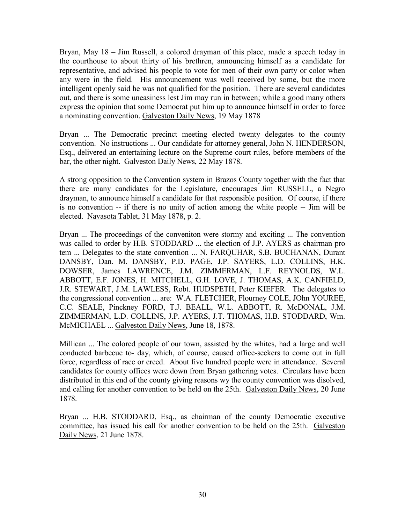Bryan, May 18 – Jim Russell, a colored drayman of this place, made a speech today in the courthouse to about thirty of his brethren, announcing himself as a candidate for representative, and advised his people to vote for men of their own party or color when any were in the field. His announcement was well received by some, but the more intelligent openly said he was not qualified for the position. There are several candidates out, and there is some uneasiness lest Jim may run in between; while a good many others express the opinion that some Democrat put him up to announce himself in order to force a nominating convention. Galveston Daily News, 19 May 1878

Bryan ... The Democratic precinct meeting elected twenty delegates to the county convention. No instructions ... Our candidate for attorney general, John N. HENDERSON, Esq., delivered an entertaining lecture on the Supreme court rules, before members of the bar, the other night. Galveston Daily News, 22 May 1878.

A strong opposition to the Convention system in Brazos County together with the fact that there are many candidates for the Legislature, encourages Jim RUSSELL, a Negro drayman, to announce himself a candidate for that responsible position. Of course, if there is no convention -- if there is no unity of action among the white people -- Jim will be elected. Navasota Tablet, 31 May 1878, p. 2.

Bryan ... The proceedings of the conveniton were stormy and exciting ... The convention was called to order by H.B. STODDARD ... the election of J.P. AYERS as chairman pro tem ... Delegates to the state convention ... N. FARQUHAR, S.B. BUCHANAN, Durant DANSBY, Dan. M. DANSBY, P.D. PAGE, J.P. SAYERS, L.D. COLLINS, H.K. DOWSER, James LAWRENCE, J.M. ZIMMERMAN, L.F. REYNOLDS, W.L. ABBOTT, E.F. JONES, H. MITCHELL, G.H. LOVE, J. THOMAS, A.K. CANFIELD, J.R. STEWART, J.M. LAWLESS, Robt. HUDSPETH, Peter KIEFER. The delegates to the congressional convention ... are: W.A. FLETCHER, Flourney COLE, JOhn YOUREE, C.C. SEALE, Pinckney FORD, T.J. BEALL, W.L. ABBOTT, R. McDONAL, J.M. ZIMMERMAN, L.D. COLLINS, J.P. AYERS, J.T. THOMAS, H.B. STODDARD, Wm. McMICHAEL ... Galveston Daily News, June 18, 1878.

Millican ... The colored people of our town, assisted by the whites, had a large and well conducted barbecue to- day, which, of course, caused office-seekers to come out in full force, regardless of race or creed. About five hundred people were in attendance. Several candidates for county offices were down from Bryan gathering votes. Circulars have been distributed in this end of the county giving reasons wy the county convention was disolved, and calling for another convention to be held on the 25th. Galveston Daily News, 20 June 1878.

Bryan ... H.B. STODDARD, Esq., as chairman of the county Democratic executive committee, has issued his call for another convention to be held on the 25th. Galveston Daily News, 21 June 1878.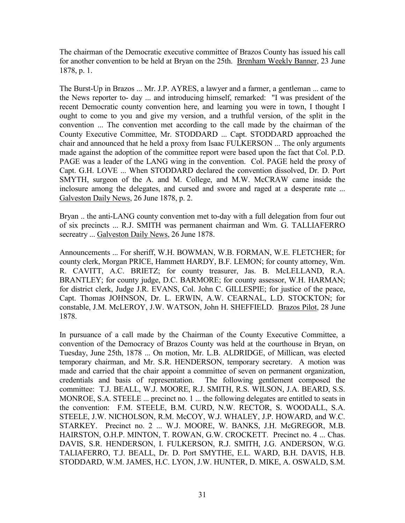The chairman of the Democratic executive committee of Brazos County has issued his call for another convention to be held at Bryan on the 25th. Brenham Weekly Banner, 23 June 1878, p. 1.

The Burst-Up in Brazos ... Mr. J.P. AYRES, a lawyer and a farmer, a gentleman ... came to the News reporter to- day ... and introducing himself, remarked: "I was president of the recent Democratic county convention here, and learning you were in town, I thought I ought to come to you and give my version, and a truthful version, of the split in the convention ... The convention met according to the call made by the chairman of the County Executive Committee, Mr. STODDARD ... Capt. STODDARD approached the chair and announced that he held a proxy from Isaac FULKERSON ... The only arguments made against the adoption of the committee report were based upon the fact that Col. P.D. PAGE was a leader of the LANG wing in the convention. Col. PAGE held the proxy of Capt. G.H. LOVE ... When STODDARD declared the convention dissolved, Dr. D. Port SMYTH, surgeon of the A. and M. College, and M.W. McCRAW came inside the inclosure among the delegates, and cursed and swore and raged at a desperate rate ... Galveston Daily News, 26 June 1878, p. 2.

Bryan .. the anti-LANG county convention met to-day with a full delegation from four out of six precincts ... R.J. SMITH was permanent chairman and Wm. G. TALLIAFERRO secreatry ... Galveston Daily News, 26 June 1878.

Announcements ... For sheriff, W.H. BOWMAN, W.B. FORMAN, W.E. FLETCHER; for county clerk, Morgan PRICE, Hammett HARDY, B.F. LEMON; for county attorney, Wm. R. CAVITT, A.C. BRIETZ; for county treasurer, Jas. B. McLELLAND, R.A. BRANTLEY; for county judge, D.C. BARMORE; for county assessor, W.H. HARMAN; for district clerk, Judge J.R. EVANS, Col. John C. GILLESPIE; for justice of the peace, Capt. Thomas JOHNSON, Dr. L. ERWIN, A.W. CEARNAL, L.D. STOCKTON; for constable, J.M. McLEROY, J.W. WATSON, John H. SHEFFIELD. Brazos Pilot, 28 June 1878.

In pursuance of a call made by the Chairman of the County Executive Committee, a convention of the Democracy of Brazos County was held at the courthouse in Bryan, on Tuesday, June 25th, 1878 ... On motion, Mr. L.B. ALDRIDGE, of Millican, was elected temporary chairman, and Mr. S.R. HENDERSON, temporary secretary. A motion was made and carried that the chair appoint a committee of seven on permanent organization, credentials and basis of representation. The following gentlement composed the committee: T.J. BEALL, W.J. MOORE, R.J. SMITH, R.S. WILSON, J.A. BEARD, S.S. MONROE, S.A. STEELE ... precinct no. 1 ... the following delegates are entitled to seats in the convention: F.M. STEELE, B.M. CURD, N.W. RECTOR, S. WOODALL, S.A. STEELE, J.W. NICHOLSON, R.M. McCOY, W.J. WHALEY, J.P. HOWARD, and W.C. STARKEY. Precinct no. 2 ... W.J. MOORE, W. BANKS, J.H. McGREGOR, M.B. HAIRSTON, O.H.P. MINTON, T. ROWAN, G.W. CROCKETT. Precinct no. 4 ... Chas. DAVIS, S.R. HENDERSON, I. FULKERSON, R.J. SMITH, J.G. ANDERSON, W.G. TALIAFERRO, T.J. BEALL, Dr. D. Port SMYTHE, E.L. WARD, B.H. DAVIS, H.B. STODDARD, W.M. JAMES, H.C. LYON, J.W. HUNTER, D. MIKE, A. OSWALD, S.M.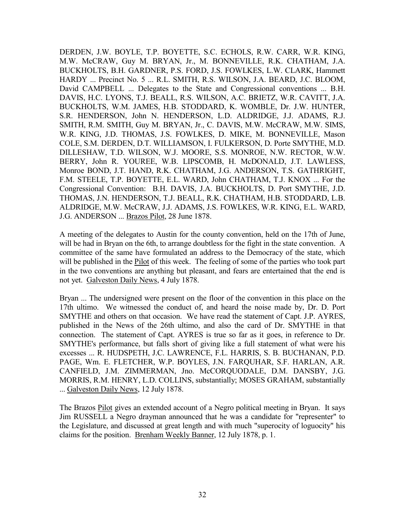DERDEN, J.W. BOYLE, T.P. BOYETTE, S.C. ECHOLS, R.W. CARR, W.R. KING, M.W. McCRAW, Guy M. BRYAN, Jr., M. BONNEVILLE, R.K. CHATHAM, J.A. BUCKHOLTS, B.H. GARDNER, P.S. FORD, J.S. FOWLKES, L.W. CLARK, Hammett HARDY ... Precinct No. 5 ... R.L. SMITH, R.S. WILSON, J.A. BEARD, J.C. BLOOM, David CAMPBELL ... Delegates to the State and Congressional conventions ... B.H. DAVIS, H.C. LYONS, T.J. BEALL, R.S. WILSON, A.C. BRIETZ, W.R. CAVITT, J.A. BUCKHOLTS, W.M. JAMES, H.B. STODDARD, K. WOMBLE, Dr. J.W. HUNTER, S.R. HENDERSON, John N. HENDERSON, L.D. ALDRIDGE, J.J. ADAMS, R.J. SMITH, R.M. SMITH, Guy M. BRYAN, Jr., C. DAVIS, M.W. McCRAW, M.W. SIMS, W.R. KING, J.D. THOMAS, J.S. FOWLKES, D. MIKE, M. BONNEVILLE, Mason COLE, S.M. DERDEN, D.T. WILLIAMSON, I. FULKERSON, D. Porte SMYTHE, M.D. DILLESHAW, T.D. WILSON, W.J. MOORE, S.S. MONROE, N.W. RECTOR, W.W. BERRY, John R. YOUREE, W.B. LIPSCOMB, H. McDONALD, J.T. LAWLESS, Monroe BOND, J.T. HAND, R.K. CHATHAM, J.G. ANDERSON, T.S. GATHRIGHT, F.M. STEELE, T.P. BOYETTE, E.L. WARD, John CHATHAM, T.J. KNOX ... For the Congressional Convention: B.H. DAVIS, J.A. BUCKHOLTS, D. Port SMYTHE, J.D. THOMAS, J.N. HENDERSON, T.J. BEALL, R.K. CHATHAM, H.B. STODDARD, L.B. ALDRIDGE, M.W. McCRAW, J.J. ADAMS, J.S. FOWLKES, W.R. KING, E.L. WARD, J.G. ANDERSON ... Brazos Pilot, 28 June 1878.

A meeting of the delegates to Austin for the county convention, held on the 17th of June, will be had in Bryan on the 6th, to arrange doubtless for the fight in the state convention. A committee of the same have formulated an address to the Democracy of the state, which will be published in the Pilot of this week. The feeling of some of the parties who took part in the two conventions are anything but pleasant, and fears are entertained that the end is not yet. Galveston Daily News, 4 July 1878.

Bryan ... The undersigned were present on the floor of the convention in this place on the 17th ultimo. We witnessed the conduct of, and heard the noise made by, Dr. D. Port SMYTHE and others on that occasion. We have read the statement of Capt. J.P. AYRES, published in the News of the 26th ultimo, and also the card of Dr. SMYTHE in that connection. The statement of Capt. AYRES is true so far as it goes, in reference to Dr. SMYTHE's performance, but falls short of giving like a full statement of what were his excesses ... R. HUDSPETH, J.C. LAWRENCE, F.L. HARRIS, S. B. BUCHANAN, P.D. PAGE, Wm. E. FLETCHER, W.P. BOYLES, J.N. FARQUHAR, S.F. HARLAN, A.R. CANFIELD, J.M. ZIMMERMAN, Jno. McCORQUODALE, D.M. DANSBY, J.G. MORRIS, R.M. HENRY, L.D. COLLINS, substantially; MOSES GRAHAM, substantially ... Galveston Daily News, 12 July 1878.

The Brazos Pilot gives an extended account of a Negro political meeting in Bryan. It says Jim RUSSELL a Negro drayman announced that he was a candidate for "representer" to the Legislature, and discussed at great length and with much "superocity of loguocity" his claims for the position. Brenham Weekly Banner, 12 July 1878, p. 1.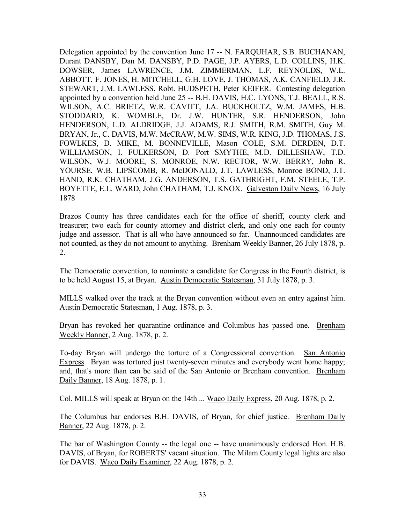Delegation appointed by the convention June 17 -- N. FARQUHAR, S.B. BUCHANAN, Durant DANSBY, Dan M. DANSBY, P.D. PAGE, J.P. AYERS, L.D. COLLINS, H.K. DOWSER, James LAWRENCE, J.M. ZIMMERMAN, L.F. REYNOLDS, W.L. ABBOTT, F. JONES, H. MITCHELL, G.H. LOVE, J. THOMAS, A.K. CANFIELD, J.R. STEWART, J.M. LAWLESS, Robt. HUDSPETH, Peter KEIFER. Contesting delegation appointed by a convention held June 25 -- B.H. DAVIS, H.C. LYONS, T.J. BEALL, R.S. WILSON, A.C. BRIETZ, W.R. CAVITT, J.A. BUCKHOLTZ, W.M. JAMES, H.B. STODDARD, K. WOMBLE, Dr. J.W. HUNTER, S.R. HENDERSON, John HENDERSON, L.D. ALDRIDGE, J.J. ADAMS, R.J. SMITH, R.M. SMITH, Guy M. BRYAN, Jr., C. DAVIS, M.W. McCRAW, M.W. SIMS, W.R. KING, J.D. THOMAS, J.S. FOWLKES, D. MIKE, M. BONNEVILLE, Mason COLE, S.M. DERDEN, D.T. WILLIAMSON, I. FULKERSON, D. Port SMYTHE, M.D. DILLESHAW, T.D. WILSON, W.J. MOORE, S. MONROE, N.W. RECTOR, W.W. BERRY, John R. YOURSE, W.B. LIPSCOMB, R. McDONALD, J.T. LAWLESS, Monroe BOND, J.T. HAND, R.K. CHATHAM, J.G. ANDERSON, T.S. GATHRIGHT, F.M. STEELE, T.P. BOYETTE, E.L. WARD, John CHATHAM, T.J. KNOX. Galveston Daily News, 16 July 1878

Brazos County has three candidates each for the office of sheriff, county clerk and treasurer; two each for county attorney and district clerk, and only one each for county judge and assessor. That is all who have announced so far. Unannounced candidates are not counted, as they do not amount to anything. Brenham Weekly Banner, 26 July 1878, p. 2.

The Democratic convention, to nominate a candidate for Congress in the Fourth district, is to be held August 15, at Bryan. Austin Democratic Statesman, 31 July 1878, p. 3.

MILLS walked over the track at the Bryan convention without even an entry against him. Austin Democratic Statesman, 1 Aug. 1878, p. 3.

Bryan has revoked her quarantine ordinance and Columbus has passed one. Brenham Weekly Banner, 2 Aug. 1878, p. 2.

To-day Bryan will undergo the torture of a Congressional convention. San Antonio Express. Bryan was tortured just twenty-seven minutes and everybody went home happy; and, that's more than can be said of the San Antonio or Brenham convention. Brenham Daily Banner, 18 Aug. 1878, p. 1.

Col. MILLS will speak at Bryan on the 14th ... Waco Daily Express, 20 Aug. 1878, p. 2.

The Columbus bar endorses B.H. DAVIS, of Bryan, for chief justice. Brenham Daily Banner, 22 Aug. 1878, p. 2.

The bar of Washington County -- the legal one -- have unanimously endorsed Hon. H.B. DAVIS, of Bryan, for ROBERTS' vacant situation. The Milam County legal lights are also for DAVIS. Waco Daily Examiner, 22 Aug. 1878, p. 2.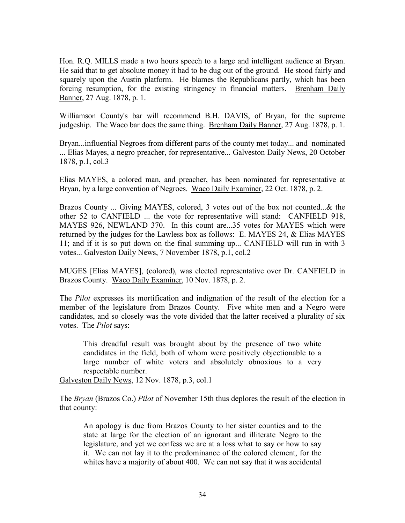Hon. R.Q. MILLS made a two hours speech to a large and intelligent audience at Bryan. He said that to get absolute money it had to be dug out of the ground. He stood fairly and squarely upon the Austin platform. He blames the Republicans partly, which has been forcing resumption, for the existing stringency in financial matters. Brenham Daily Banner, 27 Aug. 1878, p. 1.

Williamson County's bar will recommend B.H. DAVIS, of Bryan, for the supreme judgeship. The Waco bar does the same thing. Brenham Daily Banner, 27 Aug. 1878, p. 1.

Bryan...influential Negroes from different parts of the county met today... and nominated ... Elias Mayes, a negro preacher, for representative... Galveston Daily News, 20 October 1878, p.1, col.3

Elias MAYES, a colored man, and preacher, has been nominated for representative at Bryan, by a large convention of Negroes. Waco Daily Examiner, 22 Oct. 1878, p. 2.

Brazos County ... Giving MAYES, colored, 3 votes out of the box not counted...& the other 52 to CANFIELD ... the vote for representative will stand: CANFIELD 918, MAYES 926, NEWLAND 370. In this count are...35 votes for MAYES which were returned by the judges for the Lawless box as follows: E. MAYES 24, & Elias MAYES 11; and if it is so put down on the final summing up... CANFIELD will run in with 3 votes... Galveston Daily News, 7 November 1878, p.1, col.2

MUGES [Elias MAYES], (colored), was elected representative over Dr. CANFIELD in Brazos County. Waco Daily Examiner, 10 Nov. 1878, p. 2.

The *Pilot* expresses its mortification and indignation of the result of the election for a member of the legislature from Brazos County. Five white men and a Negro were candidates, and so closely was the vote divided that the latter received a plurality of six votes. The *Pilot* says:

This dreadful result was brought about by the presence of two white candidates in the field, both of whom were positively objectionable to a large number of white voters and absolutely obnoxious to a very respectable number.

Galveston Daily News, 12 Nov. 1878, p.3, col.1

The *Bryan* (Brazos Co.) *Pilot* of November 15th thus deplores the result of the election in that county:

An apology is due from Brazos County to her sister counties and to the state at large for the election of an ignorant and illiterate Negro to the legislature, and yet we confess we are at a loss what to say or how to say it. We can not lay it to the predominance of the colored element, for the whites have a majority of about 400. We can not say that it was accidental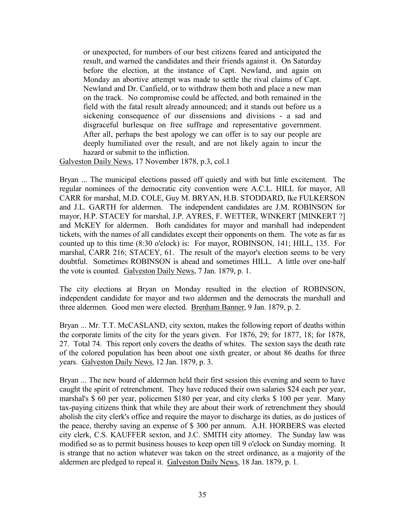or unexpected, for numbers of our best citizens feared and anticipated the result, and warned the candidates and their friends against it. On Saturday before the election, at the instance of Capt. Newland, and again on Monday an abortive attempt was made to settle the rival claims of Capt. Newland and Dr. Canfield, or to withdraw them both and place a new man on the track. No compromise could be affected, and both remained in the field with the fatal result already announced; and it stands out before us a sickening consequence of our dissensions and divisions - a sad and disgraceful burlesque on free suffrage and representative government. After all, perhaps the best apology we can offer is to say our people are deeply humiliated over the result, and are not likely again to incur the hazard or submit to the infliction.

Galveston Daily News, 17 November 1878, p.3, col.1

Bryan ... The municipal elections passed off quietly and with but little excitement. The regular nominees of the democratic city convention were A.C.L. HILL for mayor, All CARR for marshal, M.D. COLE, Guy M. BRYAN, H.B. STODDARD, Ike FULKERSON and J.L. GARTH for aldermen. The independent candidates are J.M. ROBINSON for mayor, H.P. STACEY for marshal, J.P. AYRES, F. WETTER, WINKERT [MINKERT ?] and McKEY for aldermen. Both candidates for mayor and marshall had independent tickets, with the names of all candidates except their opponents on them. The vote as far as counted up to this time (8:30 o'clock) is: For mayor, ROBINSON, 141; HILL, 135. For marshal, CARR 216; STACEY, 61. The result of the mayor's election seems to be very doubtful. Sometimes ROBINSON is ahead and sometimes HILL. A little over one-half the vote is counted. Galveston Daily News, 7 Jan. 1879, p. 1.

The city elections at Bryan on Monday resulted in the election of ROBINSON, independent candidate for mayor and two aldermen and the democrats the marshall and three aldermen. Good men were elected. Brenham Banner, 9 Jan. 1879, p. 2.

Bryan ... Mr. T.T. McCASLAND, city sexton, makes the following report of deaths within the corporate limits of the city for the years given. For 1876, 29; for 1877, 18; for 1878, 27. Total 74. This report only covers the deaths of whites. The sexton says the death rate of the colored population has been about one sixth greater, or about 86 deaths for three years. Galveston Daily News, 12 Jan. 1879, p. 3.

Bryan ... The new board of aldermen held their first session this evening and seem to have caught the spirit of retrenchment. They have reduced their own salaries \$24 each per year, marshal's \$ 60 per year, policemen \$180 per year, and city clerks \$ 100 per year. Many tax-paying citizens think that while they are about their work of retrenchment they should abolish the city clerk's office and require the mayor to discharge its duties, as do justices of the peace, thereby saving an expense of \$ 300 per annum. A.H. HORBERS was elected city clerk, C.S. KAUFFER sexton, and J.C. SMITH city attorney. The Sunday law was modified so as to permit business houses to keep open till 9 o'clock on Sunday morning. It is strange that no action whatever was taken on the street ordinance, as a majority of the aldermen are pledged to repeal it. Galveston Daily News, 18 Jan. 1879, p. 1.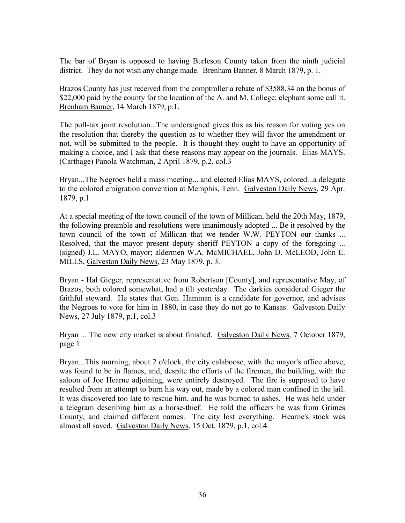The bar of Bryan is opposed to having Burleson County taken from the ninth judicial district. They do not wish any change made. Brenham Banner, 8 March 1879, p. 1.

Brazos County has just received from the comptroller a rebate of \$3588.34 on the bonus of \$22,000 paid by the county for the location of the A. and M. College; elephant some call it. Brenham Banner, 14 March 1879, p.1.

The poll-tax joint resolution...The undersigned gives this as his reason for voting yes on the resolution that thereby the question as to whether they will favor the amendment or not, will be submitted to the people. It is thought they ought to have an opportunity of making a choice, and I ask that these reasons may appear on the journals. Elias MAYS. (Carthage) Panola Watchman, 2 April 1879, p.2, col.3

Bryan...The Negroes held a mass meeting... and elected Elias MAYS, colored...a delegate to the colored emigration convention at Memphis, Tenn. Galveston Daily News, 29 Apr. 1879, p.1

At a special meeting of the town council of the town of Millican, held the 20th May, 1879, the following preamble and resolutions were unanimously adopted ... Be it resolved by the town council of the town of Millican that we tender W.W. PEYTON our thanks ... Resolved, that the mayor present deputy sheriff PEYTON a copy of the foregoing ... (signed) J.L. MAYO, mayor; aldermen W.A. McMICHAEL, John D. McLEOD, John E. MILLS, Galveston Daily News, 23 May 1879, p. 3.

Bryan - Hal Gieger, representative from Robertson [County], and representative May, of Brazos, both colored somewhat, had a tilt yesterday. The darkies considered Gieger the faithful steward. He states that Gen. Hamman is a candidate for governor, and advises the Negroes to vote for him in 1880, in case they do not go to Kansas. Galveston Daily News, 27 July 1879, p.1, col.3

Bryan ... The new city market is about finished. Galveston Daily News, 7 October 1879, page 1

Bryan...This morning, about 2 o'clock, the city calaboose, with the mayor's office above, was found to be in flames, and, despite the efforts of the firemen, the building, with the saloon of Joe Hearne adjoining, were entirely destroyed. The fire is supposed to have resulted from an attempt to burn his way out, made by a colored man confined in the jail. It was discovered too late to rescue him, and he was burned to ashes. He was held under a telegram describing him as a horse-thief. He told the officers he was from Grimes County, and claimed different names. The city lost everything. Hearne's stock was almost all saved. Galveston Daily News, 15 Oct. 1879, p.1, col.4.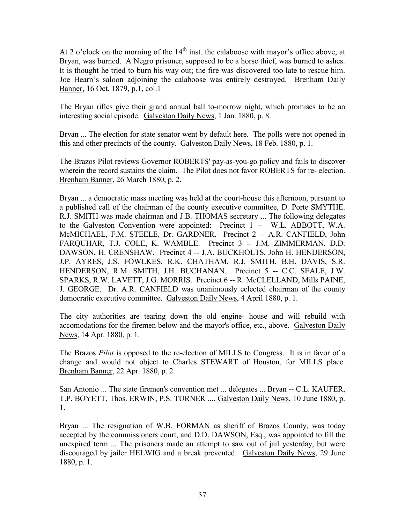At 2 o'clock on the morning of the  $14<sup>th</sup>$  inst. the calaboose with mayor's office above, at Bryan, was burned. A Negro prisoner, supposed to be a horse thief, was burned to ashes. It is thought he tried to burn his way out; the fire was discovered too late to rescue him. Joe Hearn's saloon adjoining the calaboose was entirely destroyed. Brenham Daily Banner, 16 Oct. 1879, p.1, col.1

The Bryan rifles give their grand annual ball to-morrow night, which promises to be an interesting social episode. Galveston Daily News, 1 Jan. 1880, p. 8.

Bryan ... The election for state senator went by default here. The polls were not opened in this and other precincts of the county. Galveston Daily News, 18 Feb. 1880, p. 1.

The Brazos Pilot reviews Governor ROBERTS' pay-as-you-go policy and fails to discover wherein the record sustains the claim. The **Pilot** does not favor ROBERTS for re- election. Brenham Banner, 26 March 1880, p. 2.

Bryan ... a democratic mass meeting was held at the court-house this afternoon, pursuant to a published call of the chairman of the county executive committee, D. Porte SMYTHE. R.J. SMITH was made chairman and J.B. THOMAS secretary ... The following delegates to the Galveston Convention were appointed: Precinct 1 -- W.L. ABBOTT, W.A. McMICHAEL, F.M. STEELE, Dr. GARDNER. Precinct 2 -- A.R. CANFIELD, John FARQUHAR, T.J. COLE, K. WAMBLE. Precinct 3 -- J.M. ZIMMERMAN, D.D. DAWSON, H. CRENSHAW. Precinct 4 -- J.A. BUCKHOLTS, John H. HENDERSON, J.P. AYRES, J.S. FOWLKES, R.K. CHATHAM, R.J. SMITH, B.H. DAVIS, S.R. HENDERSON, R.M. SMITH, J.H. BUCHANAN. Precinct 5 -- C.C. SEALE, J.W. SPARKS, R.W. LAVETT, J.G. MORRIS. Precinct 6 -- R. McCLELLAND, Mills PAINE, J. GEORGE. Dr. A.R. CANFIELD was unanimously eelected chairman of the county democratic executive committee. Galveston Daily News, 4 April 1880, p. 1.

The city authorities are tearing down the old engine- house and will rebuild with accomodations for the firemen below and the mayor's office, etc., above. Galveston Daily News, 14 Apr. 1880, p. 1.

The Brazos *Pilot* is opposed to the re-election of MILLS to Congress. It is in favor of a change and would not object to Charles STEWART of Houston, for MILLS place. Brenham Banner, 22 Apr. 1880, p. 2.

San Antonio ... The state firemen's convention met ... delegates ... Bryan -- C.L. KAUFER, T.P. BOYETT, Thos. ERWIN, P.S. TURNER .... Galveston Daily News, 10 June 1880, p. 1.

Bryan ... The resignation of W.B. FORMAN as sheriff of Brazos County, was today accepted by the commissioners court, and D.D. DAWSON, Esq., was appointed to fill the unexpired term ... The prisoners made an attempt to saw out of jail yesterday, but were discouraged by jailer HELWIG and a break prevented. Galveston Daily News, 29 June 1880, p. 1.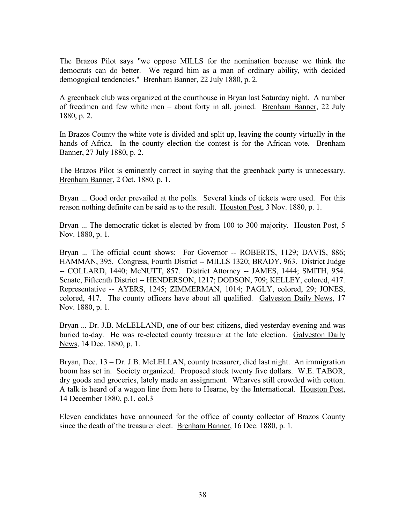The Brazos Pilot says "we oppose MILLS for the nomination because we think the democrats can do better. We regard him as a man of ordinary ability, with decided demogogical tendencies." Brenham Banner, 22 July 1880, p. 2.

A greenback club was organized at the courthouse in Bryan last Saturday night. A number of freedmen and few white men – about forty in all, joined. Brenham Banner, 22 July 1880, p. 2.

In Brazos County the white vote is divided and split up, leaving the county virtually in the hands of Africa. In the county election the contest is for the African vote. Brenham Banner, 27 July 1880, p. 2.

The Brazos Pilot is eminently correct in saying that the greenback party is unnecessary. Brenham Banner, 2 Oct. 1880, p. 1.

Bryan ... Good order prevailed at the polls. Several kinds of tickets were used. For this reason nothing definite can be said as to the result. Houston Post, 3 Nov. 1880, p. 1.

Bryan ... The democratic ticket is elected by from 100 to 300 majority. Houston Post, 5 Nov. 1880, p. 1.

Bryan ... The official count shows: For Governor -- ROBERTS, 1129; DAVIS, 886; HAMMAN, 395. Congress, Fourth District -- MILLS 1320; BRADY, 963. District Judge -- COLLARD, 1440; McNUTT, 857. District Attorney -- JAMES, 1444; SMITH, 954. Senate, Fifteenth District -- HENDERSON, 1217; DODSON, 709; KELLEY, colored, 417. Representative -- AYERS, 1245; ZIMMERMAN, 1014; PAGLY, colored, 29; JONES, colored, 417. The county officers have about all qualified. Galveston Daily News, 17 Nov. 1880, p. 1.

Bryan ... Dr. J.B. McLELLAND, one of our best citizens, died yesterday evening and was buried to-day. He was re-elected county treasurer at the late election. Galveston Daily News, 14 Dec. 1880, p. 1.

Bryan, Dec. 13 – Dr. J.B. McLELLAN, county treasurer, died last night. An immigration boom has set in. Society organized. Proposed stock twenty five dollars. W.E. TABOR, dry goods and groceries, lately made an assignment. Wharves still crowded with cotton. A talk is heard of a wagon line from here to Hearne, by the International. Houston Post, 14 December 1880, p.1, col.3

Eleven candidates have announced for the office of county collector of Brazos County since the death of the treasurer elect. Brenham Banner, 16 Dec. 1880, p. 1.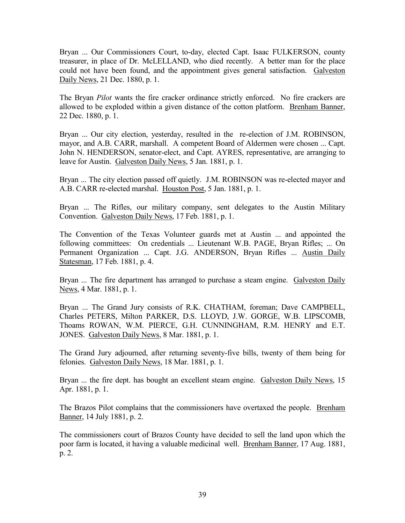Bryan ... Our Commissioners Court, to-day, elected Capt. Isaac FULKERSON, county treasurer, in place of Dr. McLELLAND, who died recently. A better man for the place could not have been found, and the appointment gives general satisfaction. Galveston Daily News, 21 Dec. 1880, p. 1.

The Bryan *Pilot* wants the fire cracker ordinance strictly enforced. No fire crackers are allowed to be exploded within a given distance of the cotton platform. Brenham Banner, 22 Dec. 1880, p. 1.

Bryan ... Our city election, yesterday, resulted in the re-election of J.M. ROBINSON, mayor, and A.B. CARR, marshall. A competent Board of Aldermen were chosen ... Capt. John N. HENDERSON, senator-elect, and Capt. AYRES, representative, are arranging to leave for Austin. Galveston Daily News, 5 Jan. 1881, p. 1.

Bryan ... The city election passed off quietly. J.M. ROBINSON was re-elected mayor and A.B. CARR re-elected marshal. Houston Post, 5 Jan. 1881, p. 1.

Bryan ... The Rifles, our military company, sent delegates to the Austin Military Convention. Galveston Daily News, 17 Feb. 1881, p. 1.

The Convention of the Texas Volunteer guards met at Austin ... and appointed the following committees: On credentials ... Lieutenant W.B. PAGE, Bryan Rifles; ... On Permanent Organization ... Capt. J.G. ANDERSON, Bryan Rifles ... Austin Daily Statesman, 17 Feb. 1881, p. 4.

Bryan ... The fire department has arranged to purchase a steam engine. Galveston Daily News, 4 Mar. 1881, p. 1.

Bryan ... The Grand Jury consists of R.K. CHATHAM, foreman; Dave CAMPBELL, Charles PETERS, Milton PARKER, D.S. LLOYD, J.W. GORGE, W.B. LIPSCOMB, Thoams ROWAN, W.M. PIERCE, G.H. CUNNINGHAM, R.M. HENRY and E.T. JONES. Galveston Daily News, 8 Mar. 1881, p. 1.

The Grand Jury adjourned, after returning seventy-five bills, twenty of them being for felonies. Galveston Daily News, 18 Mar. 1881, p. 1.

Bryan ... the fire dept. has bought an excellent steam engine. Galveston Daily News, 15 Apr. 1881, p. 1.

The Brazos Pilot complains that the commissioners have overtaxed the people. Brenham Banner, 14 July 1881, p. 2.

The commissioners court of Brazos County have decided to sell the land upon which the poor farm is located, it having a valuable medicinal well. Brenham Banner, 17 Aug. 1881, p. 2.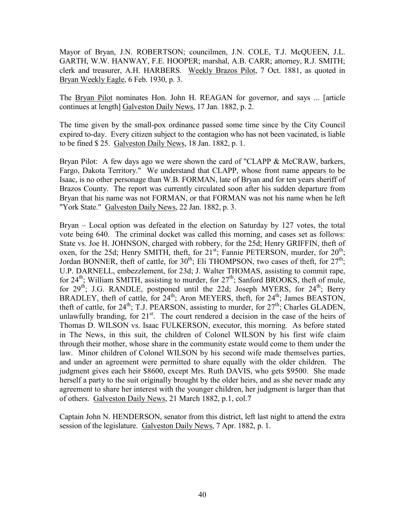Mayor of Bryan, J.N. ROBERTSON; councilmen, J.N. COLE, T.J. McQUEEN, J.L. GARTH, W.W. HANWAY, F.E. HOOPER; marshal, A.B. CARR; attorney, R.J. SMITH; clerk and treasurer, A.H. HARBERS. Weekly Brazos Pilot, 7 Oct. 1881, as quoted in Bryan Weekly Eagle, 6 Feb. 1930, p. 3.

The Bryan Pilot nominates Hon. John H. REAGAN for governor, and says ... [article continues at length] Galveston Daily News, 17 Jan. 1882, p. 2.

The time given by the small-pox ordinance passed some time since by the City Council expired to-day. Every citizen subject to the contagion who has not been vacinated, is liable to be fined \$ 25. Galveston Daily News, 18 Jan. 1882, p. 1.

Bryan Pilot: A few days ago we were shown the card of "CLAPP & McCRAW, barkers, Fargo, Dakota Territory." We understand that CLAPP, whose front name appears to be Isaac, is no other personage than W.B. FORMAN, late of Bryan and for ten years sheriff of Brazos County. The report was currently circulated soon after his sudden departure from Bryan that his name was not FORMAN, or that FORMAN was not his name when he left "York State." Galveston Daily News, 22 Jan. 1882, p. 3.

Bryan – Local option was defeated in the election on Saturday by 127 votes, the total vote being 640. The criminal docket was called this morning, and cases set as follows: State vs. Joe H. JOHNSON, charged with robbery, for the 25d; Henry GRIFFIN, theft of oxen, for the 25d; Henry SMITH, theft, for 21<sup>st</sup>; Fannie PETERSON, murder, for 20<sup>th</sup>; Jordan BONNER, theft of cattle, for  $30<sup>th</sup>$ ; Eli THOMPSON, two cases of theft, for  $27<sup>th</sup>$ ; U.P. DARNELL, embezzlement, for 23d; J. Walter THOMAS, assisting to commit rape, for  $24<sup>th</sup>$ ; William SMITH, assisting to murder, for  $27<sup>th</sup>$ ; Sanford BROOKS, theft of mule, for  $29<sup>th</sup>$ ; J.G. RANDLE, postponed until the 22d; Joseph MYERS, for  $24<sup>th</sup>$ ; Berry BRADLEY, theft of cattle, for  $24<sup>th</sup>$ ; Aron MEYERS, theft, for  $24<sup>th</sup>$ ; James BEASTON, theft of cattle, for  $24^{\text{th}}$ ; T.J. PEARSON, assisting to murder, for  $27^{\text{th}}$ ; Charles GLADEN, unlawfully branding, for  $21<sup>st</sup>$ . The court rendered a decision in the case of the heirs of Thomas D. WILSON vs. Isaac FULKERSON, executor, this morning. As before stated in The News, in this suit, the children of Colonel WILSON by his first wife claim through their mother, whose share in the community estate would come to them under the law. Minor children of Colonel WILSON by his second wife made themselves parties, and under an agreement were permitted to share equally with the older children. The judgment gives each heir \$8600, except Mrs. Ruth DAVIS, who gets \$9500. She made herself a party to the suit originally brought by the older heirs, and as she never made any agreement to share her interest with the younger children, her judgment is larger than that of others. Galveston Daily News, 21 March 1882, p.1, col.7

Captain John N. HENDERSON, senator from this district, left last night to attend the extra session of the legislature. Galveston Daily News, 7 Apr. 1882, p. 1.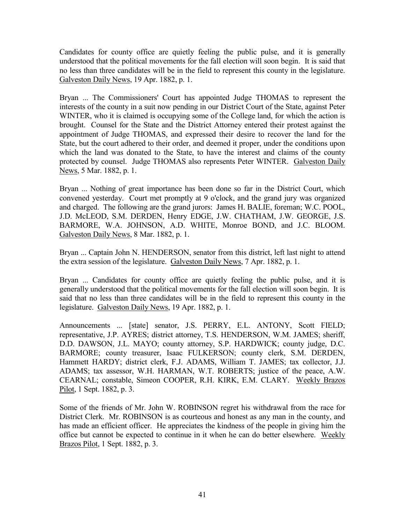Candidates for county office are quietly feeling the public pulse, and it is generally understood that the political movements for the fall election will soon begin. It is said that no less than three candidates will be in the field to represent this county in the legislature. Galveston Daily News, 19 Apr. 1882, p. 1.

Bryan ... The Commissioners' Court has appointed Judge THOMAS to represent the interests of the county in a suit now pending in our District Court of the State, against Peter WINTER, who it is claimed is occupying some of the College land, for which the action is brought. Counsel for the State and the District Attorney entered their protest against the appointment of Judge THOMAS, and expressed their desire to recover the land for the State, but the court adhered to their order, and deemed it proper, under the conditions upon which the land was donated to the State, to have the interest and claims of the county protected by counsel. Judge THOMAS also represents Peter WINTER. Galveston Daily News, 5 Mar. 1882, p. 1.

Bryan ... Nothing of great importance has been done so far in the District Court, which convened yesterday. Court met promptly at 9 o'clock, and the grand jury was organized and charged. The following are the grand jurors: James H. BALIE, foreman; W.C. POOL, J.D. McLEOD, S.M. DERDEN, Henry EDGE, J.W. CHATHAM, J.W. GEORGE, J.S. BARMORE, W.A. JOHNSON, A.D. WHITE, Monroe BOND, and J.C. BLOOM. Galveston Daily News, 8 Mar. 1882, p. 1.

Bryan ... Captain John N. HENDERSON, senator from this district, left last night to attend the extra session of the legislature. Galveston Daily News, 7 Apr. 1882, p. 1.

Bryan ... Candidates for county office are quietly feeling the public pulse, and it is generally understood that the political movements for the fall election will soon begin. It is said that no less than three candidates will be in the field to represent this county in the legislature. Galveston Daily News, 19 Apr. 1882, p. 1.

Announcements ... [state] senator, J.S. PERRY, E.L. ANTONY, Scott FIELD; representative, J.P. AYRES; district attorney, T.S. HENDERSON, W.M. JAMES; sheriff, D.D. DAWSON, J.L. MAYO; county attorney, S.P. HARDWICK; county judge, D.C. BARMORE; county treasurer, Isaac FULKERSON; county clerk, S.M. DERDEN, Hammett HARDY; district clerk, F.J. ADAMS, William T. JAMES; tax collector, J.J. ADAMS; tax assessor, W.H. HARMAN, W.T. ROBERTS; justice of the peace, A.W. CEARNAL; constable, Simeon COOPER, R.H. KIRK, E.M. CLARY. Weekly Brazos Pilot, 1 Sept. 1882, p. 3.

Some of the friends of Mr. John W. ROBINSON regret his withdrawal from the race for District Clerk. Mr. ROBINSON is as courteous and honest as any man in the county, and has made an efficient officer. He appreciates the kindness of the people in giving him the office but cannot be expected to continue in it when he can do better elsewhere. Weekly Brazos Pilot, 1 Sept. 1882, p. 3.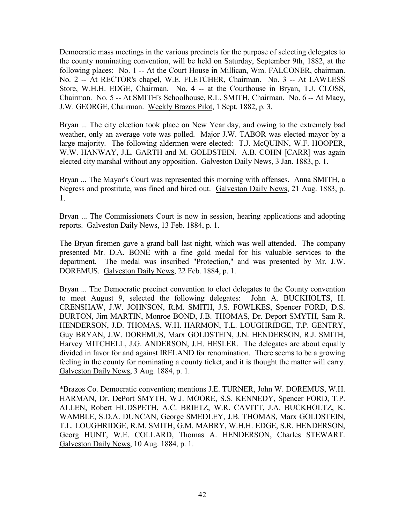Democratic mass meetings in the various precincts for the purpose of selecting delegates to the county nominating convention, will be held on Saturday, September 9th, 1882, at the following places: No. 1 -- At the Court House in Millican, Wm. FALCONER, chairman. No. 2 -- At RECTOR's chapel, W.E. FLETCHER, Chairman. No. 3 -- At LAWLESS Store, W.H.H. EDGE, Chairman. No. 4 -- at the Courthouse in Bryan, T.J. CLOSS, Chairman. No. 5 -- At SMITH's Schoolhouse, R.L. SMITH, Chairman. No. 6 -- At Macy, J.W. GEORGE, Chairman. Weekly Brazos Pilot, 1 Sept. 1882, p. 3.

Bryan ... The city election took place on New Year day, and owing to the extremely bad weather, only an average vote was polled. Major J.W. TABOR was elected mayor by a large majority. The following aldermen were elected: T.J. McQUINN, W.F. HOOPER, W.W. HANWAY, J.L. GARTH and M. GOLDSTEIN. A.B. COHN [CARR] was again elected city marshal without any opposition. Galveston Daily News, 3 Jan. 1883, p. 1.

Bryan ... The Mayor's Court was represented this morning with offenses. Anna SMITH, a Negress and prostitute, was fined and hired out. Galveston Daily News, 21 Aug. 1883, p. 1.

Bryan ... The Commissioners Court is now in session, hearing applications and adopting reports. Galveston Daily News, 13 Feb. 1884, p. 1.

The Bryan firemen gave a grand ball last night, which was well attended. The company presented Mr. D.A. BONE with a fine gold medal for his valuable services to the department. The medal was inscribed "Protection," and was presented by Mr. J.W. DOREMUS. Galveston Daily News, 22 Feb. 1884, p. 1.

Bryan ... The Democratic precinct convention to elect delegates to the County convention to meet August 9, selected the following delegates: John A. BUCKHOLTS, H. CRENSHAW, J.W. JOHNSON, R.M. SMITH, J.S. FOWLKES, Spencer FORD, D.S. BURTON, Jim MARTIN, Monroe BOND, J.B. THOMAS, Dr. Deport SMYTH, Sam R. HENDERSON, J.D. THOMAS, W.H. HARMON, T.L. LOUGHRIDGE, T.P. GENTRY, Guy BRYAN, J.W. DOREMUS, Marx GOLDSTEIN, J.N. HENDERSON, R.J. SMITH, Harvey MITCHELL, J.G. ANDERSON, J.H. HESLER. The delegates are about equally divided in favor for and against IRELAND for renomination. There seems to be a growing feeling in the county for nominating a county ticket, and it is thought the matter will carry. Galveston Daily News, 3 Aug. 1884, p. 1.

\*Brazos Co. Democratic convention; mentions J.E. TURNER, John W. DOREMUS, W.H. HARMAN, Dr. DePort SMYTH, W.J. MOORE, S.S. KENNEDY, Spencer FORD, T.P. ALLEN, Robert HUDSPETH, A.C. BRIETZ, W.R. CAVITT, J.A. BUCKHOLTZ, K. WAMBLE, S.D.A. DUNCAN, George SMEDLEY, J.B. THOMAS, Marx GOLDSTEIN, T.L. LOUGHRIDGE, R.M. SMITH, G.M. MABRY, W.H.H. EDGE, S.R. HENDERSON, Georg HUNT, W.E. COLLARD, Thomas A. HENDERSON, Charles STEWART. Galveston Daily News, 10 Aug. 1884, p. 1.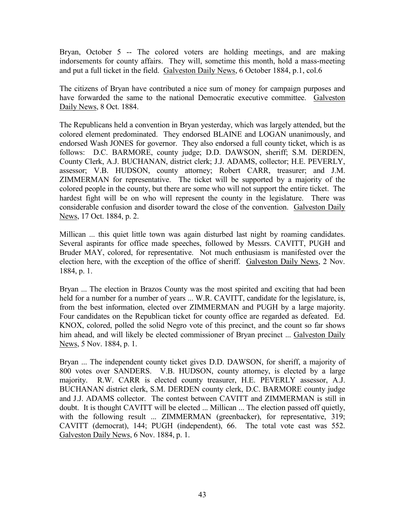Bryan, October 5 -- The colored voters are holding meetings, and are making indorsements for county affairs. They will, sometime this month, hold a mass-meeting and put a full ticket in the field. Galveston Daily News, 6 October 1884, p.1, col.6

The citizens of Bryan have contributed a nice sum of money for campaign purposes and have forwarded the same to the national Democratic executive committee. Galveston Daily News, 8 Oct. 1884.

The Republicans held a convention in Bryan yesterday, which was largely attended, but the colored element predominated. They endorsed BLAINE and LOGAN unanimously, and endorsed Wash JONES for governor. They also endorsed a full county ticket, which is as follows: D.C. BARMORE, county judge; D.D. DAWSON, sheriff; S.M. DERDEN, County Clerk, A.J. BUCHANAN, district clerk; J.J. ADAMS, collector; H.E. PEVERLY, assessor; V.B. HUDSON, county attorney; Robert CARR, treasurer; and J.M. ZIMMERMAN for representative. The ticket will be supported by a majority of the colored people in the county, but there are some who will not support the entire ticket. The hardest fight will be on who will represent the county in the legislature. There was considerable confusion and disorder toward the close of the convention. Galveston Daily News, 17 Oct. 1884, p. 2.

Millican ... this quiet little town was again disturbed last night by roaming candidates. Several aspirants for office made speeches, followed by Messrs. CAVITT, PUGH and Bruder MAY, colored, for representative. Not much enthusiasm is manifested over the election here, with the exception of the office of sheriff. Galveston Daily News, 2 Nov. 1884, p. 1.

Bryan ... The election in Brazos County was the most spirited and exciting that had been held for a number for a number of years ... W.R. CAVITT, candidate for the legislature, is, from the best information, elected over ZIMMERMAN and PUGH by a large majority. Four candidates on the Republican ticket for county office are regarded as defeated. Ed. KNOX, colored, polled the solid Negro vote of this precinct, and the count so far shows him ahead, and will likely be elected commissioner of Bryan precinct ... Galveston Daily News, 5 Nov. 1884, p. 1.

Bryan ... The independent county ticket gives D.D. DAWSON, for sheriff, a majority of 800 votes over SANDERS. V.B. HUDSON, county attorney, is elected by a large majority. R.W. CARR is elected county treasurer, H.E. PEVERLY assessor, A.J. BUCHANAN district clerk, S.M. DERDEN county clerk, D.C. BARMORE county judge and J.J. ADAMS collector. The contest between CAVITT and ZIMMERMAN is still in doubt. It is thought CAVITT will be elected ... Millican ... The election passed off quietly, with the following result ... ZIMMERMAN (greenbacker), for representative, 319; CAVITT (democrat), 144; PUGH (independent), 66. The total vote cast was 552. Galveston Daily News, 6 Nov. 1884, p. 1.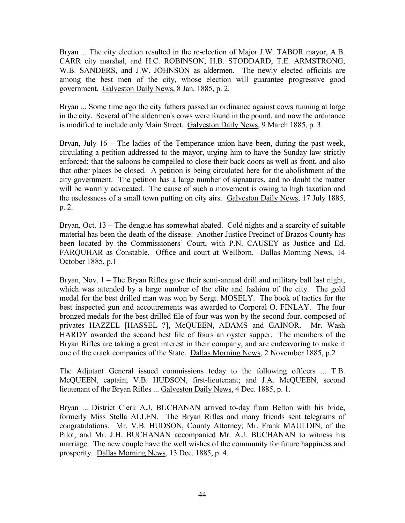Bryan ... The city election resulted in the re-election of Major J.W. TABOR mayor, A.B. CARR city marshal, and H.C. ROBINSON, H.B. STODDARD, T.E. ARMSTRONG, W.B. SANDERS, and J.W. JOHNSON as aldermen. The newly elected officials are among the best men of the city, whose election will guarantee progressive good government. Galveston Daily News, 8 Jan. 1885, p. 2.

Bryan ... Some time ago the city fathers passed an ordinance against cows running at large in the city. Several of the aldermen's cows were found in the pound, and now the ordinance is modified to include only Main Street. Galveston Daily News, 9 March 1885, p. 3.

Bryan, July 16 – The ladies of the Temperance union have been, during the past week, circulating a petition addressed to the mayor, urging him to have the Sunday law strictly enforced; that the saloons be compelled to close their back doors as well as front, and also that other places be closed. A petition is being circulated here for the abolishment of the city government. The petition has a large number of signatures, and no doubt the matter will be warmly advocated. The cause of such a movement is owing to high taxation and the uselessness of a small town putting on city airs. Galveston Daily News, 17 July 1885, p. 2.

Bryan, Oct. 13 – The dengue has somewhat abated. Cold nights and a scarcity of suitable material has been the death of the disease. Another Justice Precinct of Brazos County has been located by the Commissioners' Court, with P.N. CAUSEY as Justice and Ed. FARQUHAR as Constable. Office and court at Wellborn. Dallas Morning News, 14 October 1885, p.1

Bryan, Nov. 1 – The Bryan Rifles gave their semi-annual drill and military ball last night, which was attended by a large number of the elite and fashion of the city. The gold medal for the best drilled man was won by Sergt. MOSELY. The book of tactics for the best inspected gun and accoutrements was awarded to Corporal O. FINLAY. The four bronzed medals for the best drilled file of four was won by the second four, composed of privates HAZZEL [HASSEL ?], McQUEEN, ADAMS and GAINOR. Mr. Wash HARDY awarded the second best file of fours an oyster supper. The members of the Bryan Rifles are taking a great interest in their company, and are endeavoring to make it one of the crack companies of the State. Dallas Morning News, 2 November 1885, p.2

The Adjutant General issued commissions today to the following officers ... T.B. McQUEEN, captain; V.B. HUDSON, first-lieutenant; and J.A. McQUEEN, second lieutenant of the Bryan Rifles ... Galveston Daily News, 4 Dec. 1885, p. 1.

Bryan ... District Clerk A.J. BUCHANAN arrived to-day from Belton with his bride, formerly Miss Stella ALLEN. The Bryan Rifles and many friends sent telegrams of congratulations. Mr. V.B. HUDSON, County Attorney; Mr. Frank MAULDIN, of the Pilot, and Mr. J.H. BUCHANAN accompanied Mr. A.J. BUCHANAN to witness his marriage. The new couple have the well wishes of the community for future happiness and prosperity. Dallas Morning News, 13 Dec. 1885, p. 4.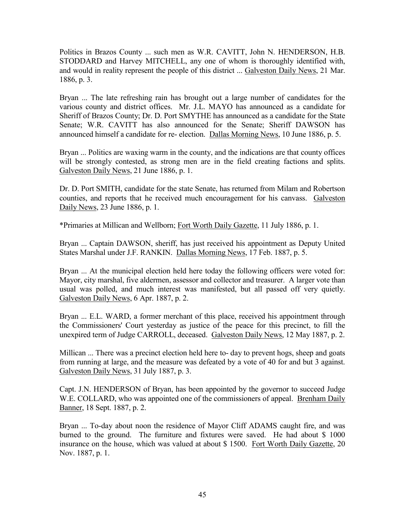Politics in Brazos County ... such men as W.R. CAVITT, John N. HENDERSON, H.B. STODDARD and Harvey MITCHELL, any one of whom is thoroughly identified with, and would in reality represent the people of this district ... Galveston Daily News, 21 Mar. 1886, p. 3.

Bryan ... The late refreshing rain has brought out a large number of candidates for the various county and district offices. Mr. J.L. MAYO has announced as a candidate for Sheriff of Brazos County; Dr. D. Port SMYTHE has announced as a candidate for the State Senate; W.R. CAVITT has also announced for the Senate; Sheriff DAWSON has announced himself a candidate for re- election. Dallas Morning News, 10 June 1886, p. 5.

Bryan ... Politics are waxing warm in the county, and the indications are that county offices will be strongly contested, as strong men are in the field creating factions and splits. Galveston Daily News, 21 June 1886, p. 1.

Dr. D. Port SMITH, candidate for the state Senate, has returned from Milam and Robertson counties, and reports that he received much encouragement for his canvass. Galveston Daily News, 23 June 1886, p. 1.

\*Primaries at Millican and Wellborn; Fort Worth Daily Gazette, 11 July 1886, p. 1.

Bryan ... Captain DAWSON, sheriff, has just received his appointment as Deputy United States Marshal under J.F. RANKIN. Dallas Morning News, 17 Feb. 1887, p. 5.

Bryan ... At the municipal election held here today the following officers were voted for: Mayor, city marshal, five aldermen, assessor and collector and treasurer. A larger vote than usual was polled, and much interest was manifested, but all passed off very quietly. Galveston Daily News, 6 Apr. 1887, p. 2.

Bryan ... E.L. WARD, a former merchant of this place, received his appointment through the Commissioners' Court yesterday as justice of the peace for this precinct, to fill the unexpired term of Judge CARROLL, deceased. Galveston Daily News, 12 May 1887, p. 2.

Millican ... There was a precinct election held here to- day to prevent hogs, sheep and goats from running at large, and the measure was defeated by a vote of 40 for and but 3 against. Galveston Daily News, 31 July 1887, p. 3.

Capt. J.N. HENDERSON of Bryan, has been appointed by the governor to succeed Judge W.E. COLLARD, who was appointed one of the commissioners of appeal. Brenham Daily Banner, 18 Sept. 1887, p. 2.

Bryan ... To-day about noon the residence of Mayor Cliff ADAMS caught fire, and was burned to the ground. The furniture and fixtures were saved. He had about \$ 1000 insurance on the house, which was valued at about \$ 1500. Fort Worth Daily Gazette, 20 Nov. 1887, p. 1.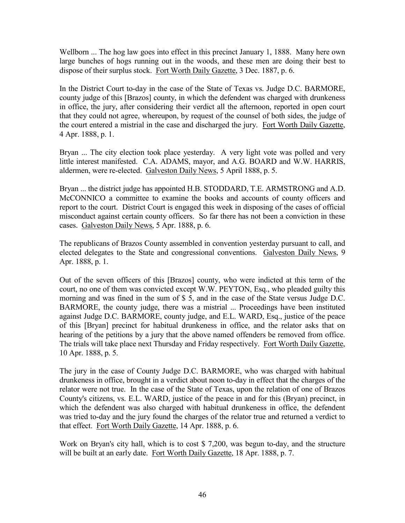Wellborn ... The hog law goes into effect in this precinct January 1, 1888. Many here own large bunches of hogs running out in the woods, and these men are doing their best to dispose of their surplus stock. Fort Worth Daily Gazette, 3 Dec. 1887, p. 6.

In the District Court to-day in the case of the State of Texas vs. Judge D.C. BARMORE, county judge of this [Brazos] county, in which the defendent was charged with drunkeness in office, the jury, after considering their verdict all the afternoon, reported in open court that they could not agree, whereupon, by request of the counsel of both sides, the judge of the court entered a mistrial in the case and discharged the jury. Fort Worth Daily Gazette, 4 Apr. 1888, p. 1.

Bryan ... The city election took place yesterday. A very light vote was polled and very little interest manifested. C.A. ADAMS, mayor, and A.G. BOARD and W.W. HARRIS, aldermen, were re-elected. Galveston Daily News, 5 April 1888, p. 5.

Bryan ... the district judge has appointed H.B. STODDARD, T.E. ARMSTRONG and A.D. McCONNICO a committee to examine the books and accounts of county officers and report to the court. District Court is engaged this week in disposing of the cases of official misconduct against certain county officers. So far there has not been a conviction in these cases. Galveston Daily News, 5 Apr. 1888, p. 6.

The republicans of Brazos County assembled in convention yesterday pursuant to call, and elected delegates to the State and congressional conventions. Galveston Daily News, 9 Apr. 1888, p. 1.

Out of the seven officers of this [Brazos] county, who were indicted at this term of the court, no one of them was convicted except W.W. PEYTON, Esq., who pleaded guilty this morning and was fined in the sum of \$ 5, and in the case of the State versus Judge D.C. BARMORE, the county judge, there was a mistrial ... Proceedings have been instituted against Judge D.C. BARMORE, county judge, and E.L. WARD, Esq., justice of the peace of this [Bryan] precinct for habitual drunkeness in office, and the relator asks that on hearing of the petitions by a jury that the above named offenders be removed from office. The trials will take place next Thursday and Friday respectively. Fort Worth Daily Gazette, 10 Apr. 1888, p. 5.

The jury in the case of County Judge D.C. BARMORE, who was charged with habitual drunkeness in office, brought in a verdict about noon to-day in effect that the charges of the relator were not true. In the case of the State of Texas, upon the relation of one of Brazos County's citizens, vs. E.L. WARD, justice of the peace in and for this (Bryan) precinct, in which the defendent was also charged with habitual drunkeness in office, the defendent was tried to-day and the jury found the charges of the relator true and returned a verdict to that effect. Fort Worth Daily Gazette, 14 Apr. 1888, p. 6.

Work on Bryan's city hall, which is to cost \$ 7,200, was begun to-day, and the structure will be built at an early date. Fort Worth Daily Gazette, 18 Apr. 1888, p. 7.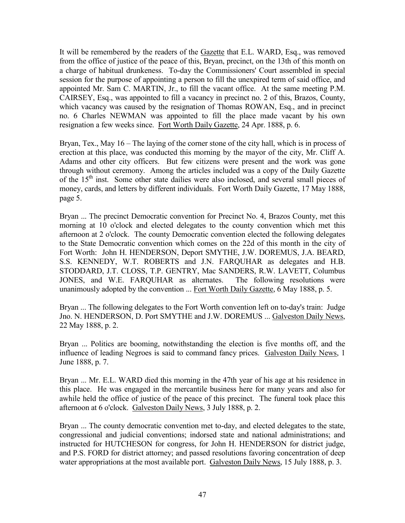It will be remembered by the readers of the Gazette that E.L. WARD, Esq., was removed from the office of justice of the peace of this, Bryan, precinct, on the 13th of this month on a charge of habitual drunkeness. To-day the Commissioners' Court assembled in special session for the purpose of appointing a person to fill the unexpired term of said office, and appointed Mr. Sam C. MARTIN, Jr., to fill the vacant office. At the same meeting P.M. CAIRSEY, Esq., was appointed to fill a vacancy in precinct no. 2 of this, Brazos, County, which vacancy was caused by the resignation of Thomas ROWAN, Esq., and in precinct no. 6 Charles NEWMAN was appointed to fill the place made vacant by his own resignation a few weeks since. Fort Worth Daily Gazette, 24 Apr. 1888, p. 6.

Bryan, Tex., May 16 – The laying of the corner stone of the city hall, which is in process of erection at this place, was conducted this morning by the mayor of the city, Mr. Cliff A. Adams and other city officers. But few citizens were present and the work was gone through without ceremony. Among the articles included was a copy of the Daily Gazette of the  $15<sup>th</sup>$  inst. Some other state dailies were also inclosed, and several small pieces of money, cards, and letters by different individuals. Fort Worth Daily Gazette, 17 May 1888, page 5.

Bryan ... The precinct Democratic convention for Precinct No. 4, Brazos County, met this morning at 10 o'clock and elected delegates to the county convention which met this afternoon at 2 o'clock. The county Democratic convention elected the following delegates to the State Democratic convention which comes on the 22d of this month in the city of Fort Worth: John H. HENDERSON, Deport SMYTHE, J.W. DOREMUS, J.A. BEARD, S.S. KENNEDY, W.T. ROBERTS and J.N. FARQUHAR as delegates and H.B. STODDARD, J.T. CLOSS, T.P. GENTRY, Mac SANDERS, R.W. LAVETT, Columbus JONES, and W.E. FARQUHAR as alternates. The following resolutions were unanimously adopted by the convention ... Fort Worth Daily Gazette, 6 May 1888, p. 5.

Bryan ... The following delegates to the Fort Worth convention left on to-day's train: Judge Jno. N. HENDERSON, D. Port SMYTHE and J.W. DOREMUS ... Galveston Daily News, 22 May 1888, p. 2.

Bryan ... Politics are booming, notwithstanding the election is five months off, and the influence of leading Negroes is said to command fancy prices. Galveston Daily News, 1 June 1888, p. 7.

Bryan ... Mr. E.L. WARD died this morning in the 47th year of his age at his residence in this place. He was engaged in the mercantile business here for many years and also for awhile held the office of justice of the peace of this precinct. The funeral took place this afternoon at 6 o'clock. Galveston Daily News, 3 July 1888, p. 2.

Bryan ... The county democratic convention met to-day, and elected delegates to the state, congressional and judicial conventions; indorsed state and national administrations; and instructed for HUTCHESON for congress, for John H. HENDERSON for district judge, and P.S. FORD for district attorney; and passed resolutions favoring concentration of deep water appropriations at the most available port. Galveston Daily News, 15 July 1888, p. 3.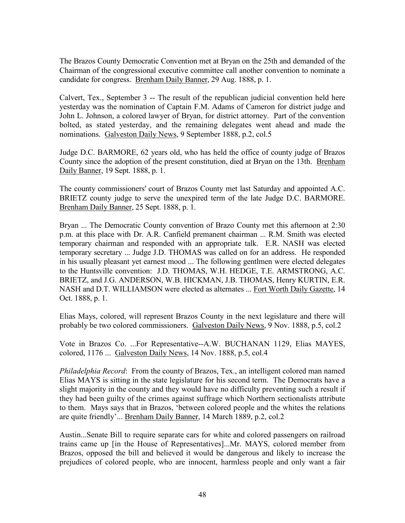The Brazos County Democratic Convention met at Bryan on the 25th and demanded of the Chairman of the congressional executive committee call another convention to nominate a candidate for congress. Brenham Daily Banner, 29 Aug. 1888, p. 1.

Calvert, Tex., September 3 -- The result of the republican judicial convention held here yesterday was the nomination of Captain F.M. Adams of Cameron for district judge and John L. Johnson, a colored lawyer of Bryan, for district attorney. Part of the convention bolted, as stated yesterday, and the remaining delegates went ahead and made the nominations. Galveston Daily News, 9 September 1888, p.2, col.5

Judge D.C. BARMORE, 62 years old, who has held the office of county judge of Brazos County since the adoption of the present constitution, died at Bryan on the 13th. Brenham Daily Banner, 19 Sept. 1888, p. 1.

The county commissioners' court of Brazos County met last Saturday and appointed A.C. BRIETZ county judge to serve the unexpired term of the late Judge D.C. BARMORE. Brenham Daily Banner, 25 Sept. 1888, p. 1.

Bryan ... The Democratic County convention of Brazo County met this afternoon at 2:30 p.m. at this place with Dr. A.R. Canfield premanent chairman ... R.M. Smith was elected temporary chairman and responded with an appropriate talk. E.R. NASH was elected temporary secretary ... Judge J.D. THOMAS was called on for an address. He responded in his usually pleasant yet earnest mood ... The following gentlmen were elected delegates to the Huntsville convention: J.D. THOMAS, W.H. HEDGE, T.E. ARMSTRONG, A.C. BRIETZ, and J.G. ANDERSON, W.B. HICKMAN, J.B. THOMAS, Henry KURTIN, E.R. NASH and D.T. WILLIAMSON were elected as alternates ... Fort Worth Daily Gazette, 14 Oct. 1888, p. 1.

Elias Mays, colored, will represent Brazos County in the next legislature and there will probably be two colored commissioners. Galveston Daily News, 9 Nov. 1888, p.5, col.2

Vote in Brazos Co. ...For Representative--A.W. BUCHANAN 1129, Elias MAYES, colored, 1176 ... Galveston Daily News, 14 Nov. 1888, p.5, col.4

*Philadelphia Record*: From the county of Brazos, Tex., an intelligent colored man named Elias MAYS is sitting in the state legislature for his second term. The Democrats have a slight majority in the county and they would have no difficulty preventing such a result if they had been guilty of the crimes against suffrage which Northern sectionalists attribute to them. Mays says that in Brazos, 'between colored people and the whites the relations are quite friendly'... Brenham Daily Banner, 14 March 1889, p.2, col.2

Austin...Senate Bill to require separate cars for white and colored passengers on railroad trains came up [in the House of Representatives]...Mr. MAYS, colored member from Brazos, opposed the bill and believed it would be dangerous and likely to increase the prejudices of colored people, who are innocent, harmless people and only want a fair